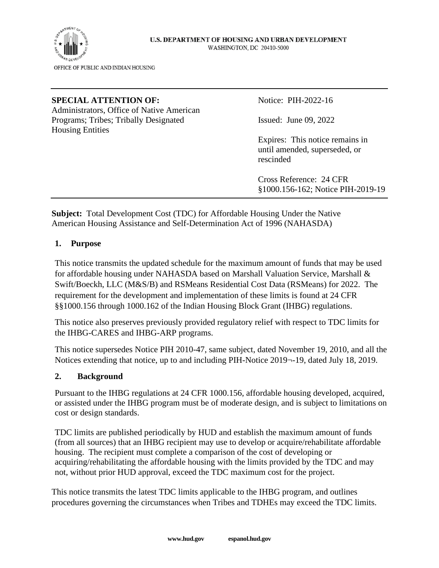

#### **SPECIAL ATTENTION OF:** Notice: PIH-2022-16

Administrators, Office of Native American Programs; Tribes; Tribally Designated Issued: June 09, 2022 Housing Entities

Expires: This notice remains in until amended, superseded, or rescinded

Cross Reference: 24 CFR §1000.156-162; Notice PIH-2019-19

**Subject:** Total Development Cost (TDC) for Affordable Housing Under the Native American Housing Assistance and Self-Determination Act of 1996 (NAHASDA)

#### **1. Purpose**

This notice transmits the updated schedule for the maximum amount of funds that may be used for affordable housing under NAHASDA based on Marshall Valuation Service, Marshall & Swift/Boeckh, LLC (M&S/B) and RSMeans Residential Cost Data (RSMeans) for 2022. The requirement for the development and implementation of these limits is found at 24 CFR §§1000.156 through 1000.162 of the Indian Housing Block Grant (IHBG) regulations.

This notice also preserves previously provided regulatory relief with respect to TDC limits for the IHBG-CARES and IHBG-ARP programs.

This notice supersedes Notice PIH 2010-47, same subject, dated November 19, 2010, and all the Notices extending that notice, up to and including PIH-Notice 2019¬-19, dated July 18, 2019.

### **2. Background**

Pursuant to the IHBG regulations at 24 CFR 1000.156, affordable housing developed, acquired, or assisted under the IHBG program must be of moderate design, and is subject to limitations on cost or design standards.

TDC limits are published periodically by HUD and establish the maximum amount of funds (from all sources) that an IHBG recipient may use to develop or acquire/rehabilitate affordable housing. The recipient must complete a comparison of the cost of developing or acquiring/rehabilitating the affordable housing with the limits provided by the TDC and may not, without prior HUD approval, exceed the TDC maximum cost for the project.

This notice transmits the latest TDC limits applicable to the IHBG program, and outlines procedures governing the circumstances when Tribes and TDHEs may exceed the TDC limits.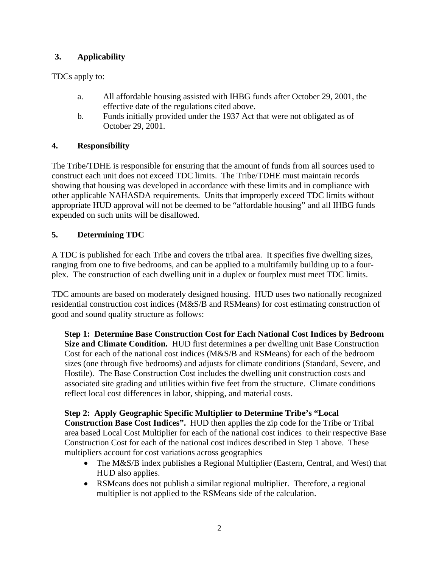## **3. Applicability**

TDCs apply to:

- a. All affordable housing assisted with IHBG funds after October 29, 2001, the effective date of the regulations cited above.
- b. Funds initially provided under the 1937 Act that were not obligated as of October 29, 2001.

## **4. Responsibility**

The Tribe/TDHE is responsible for ensuring that the amount of funds from all sources used to construct each unit does not exceed TDC limits. The Tribe/TDHE must maintain records showing that housing was developed in accordance with these limits and in compliance with other applicable NAHASDA requirements. Units that improperly exceed TDC limits without appropriate HUD approval will not be deemed to be "affordable housing" and all IHBG funds expended on such units will be disallowed.

## **5. Determining TDC**

A TDC is published for each Tribe and covers the tribal area. It specifies five dwelling sizes, ranging from one to five bedrooms, and can be applied to a multifamily building up to a fourplex. The construction of each dwelling unit in a duplex or fourplex must meet TDC limits.

TDC amounts are based on moderately designed housing. HUD uses two nationally recognized residential construction cost indices (M&S/B and RSMeans) for cost estimating construction of good and sound quality structure as follows:

**Step 1: Determine Base Construction Cost for Each National Cost Indices by Bedroom Size and Climate Condition.** HUD first determines a per dwelling unit Base Construction Cost for each of the national cost indices (M&S/B and RSMeans) for each of the bedroom sizes (one through five bedrooms) and adjusts for climate conditions (Standard, Severe, and Hostile). The Base Construction Cost includes the dwelling unit construction costs and associated site grading and utilities within five feet from the structure. Climate conditions reflect local cost differences in labor, shipping, and material costs.

### **Step 2: Apply Geographic Specific Multiplier to Determine Tribe's "Local**

**Construction Base Cost Indices".** HUD then applies the zip code for the Tribe or Tribal area based Local Cost Multiplier for each of the national cost indices to their respective Base Construction Cost for each of the national cost indices described in Step 1 above. These multipliers account for cost variations across geographies

- The M&S/B index publishes a Regional Multiplier (Eastern, Central, and West) that HUD also applies.
- RSMeans does not publish a similar regional multiplier. Therefore, a regional multiplier is not applied to the RSMeans side of the calculation.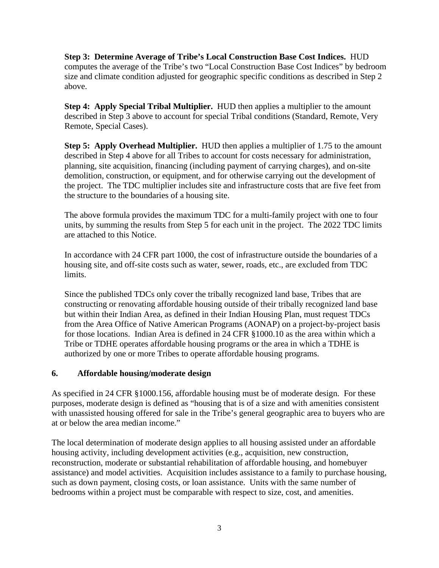**Step 3: Determine Average of Tribe's Local Construction Base Cost Indices.** HUD computes the average of the Tribe's two "Local Construction Base Cost Indices" by bedroom size and climate condition adjusted for geographic specific conditions as described in Step 2 above.

**Step 4: Apply Special Tribal Multiplier.** HUD then applies a multiplier to the amount described in Step 3 above to account for special Tribal conditions (Standard, Remote, Very Remote, Special Cases).

**Step 5: Apply Overhead Multiplier.** HUD then applies a multiplier of 1.75 to the amount described in Step 4 above for all Tribes to account for costs necessary for administration, planning, site acquisition, financing (including payment of carrying charges), and on-site demolition, construction, or equipment, and for otherwise carrying out the development of the project. The TDC multiplier includes site and infrastructure costs that are five feet from the structure to the boundaries of a housing site.

The above formula provides the maximum TDC for a multi-family project with one to four units, by summing the results from Step 5 for each unit in the project. The 2022 TDC limits are attached to this Notice.

In accordance with 24 CFR part 1000, the cost of infrastructure outside the boundaries of a housing site, and off-site costs such as water, sewer, roads, etc., are excluded from TDC limits.

Since the published TDCs only cover the tribally recognized land base, Tribes that are constructing or renovating affordable housing outside of their tribally recognized land base but within their Indian Area, as defined in their Indian Housing Plan, must request TDCs from the Area Office of Native American Programs (AONAP) on a project-by-project basis for those locations. Indian Area is defined in 24 CFR §1000.10 as the area within which a Tribe or TDHE operates affordable housing programs or the area in which a TDHE is authorized by one or more Tribes to operate affordable housing programs.

### **6. Affordable housing/moderate design**

As specified in 24 CFR §1000.156, affordable housing must be of moderate design. For these purposes, moderate design is defined as "housing that is of a size and with amenities consistent with unassisted housing offered for sale in the Tribe's general geographic area to buyers who are at or below the area median income."

The local determination of moderate design applies to all housing assisted under an affordable housing activity, including development activities (e.g., acquisition, new construction, reconstruction, moderate or substantial rehabilitation of affordable housing, and homebuyer assistance) and model activities. Acquisition includes assistance to a family to purchase housing, such as down payment, closing costs, or loan assistance. Units with the same number of bedrooms within a project must be comparable with respect to size, cost, and amenities.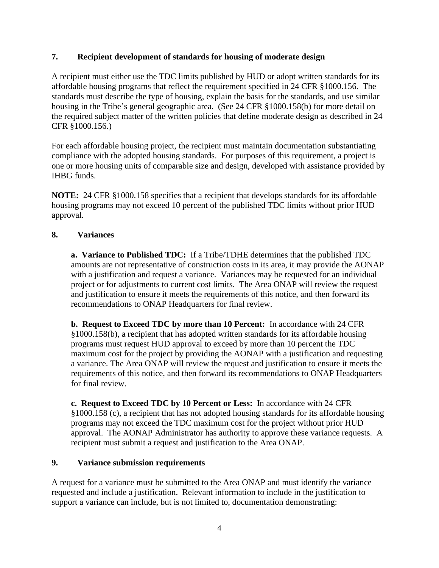### **7. Recipient development of standards for housing of moderate design**

A recipient must either use the TDC limits published by HUD or adopt written standards for its affordable housing programs that reflect the requirement specified in 24 CFR §1000.156. The standards must describe the type of housing, explain the basis for the standards, and use similar housing in the Tribe's general geographic area. (See 24 CFR §1000.158(b) for more detail on the required subject matter of the written policies that define moderate design as described in 24 CFR §1000.156.)

For each affordable housing project, the recipient must maintain documentation substantiating compliance with the adopted housing standards. For purposes of this requirement, a project is one or more housing units of comparable size and design, developed with assistance provided by IHBG funds.

**NOTE:** 24 CFR §1000.158 specifies that a recipient that develops standards for its affordable housing programs may not exceed 10 percent of the published TDC limits without prior HUD approval.

#### **8. Variances**

 **a. Variance to Published TDC:** If a Tribe/TDHE determines that the published TDC amounts are not representative of construction costs in its area, it may provide the AONAP with a justification and request a variance. Variances may be requested for an individual project or for adjustments to current cost limits. The Area ONAP will review the request and justification to ensure it meets the requirements of this notice, and then forward its recommendations to ONAP Headquarters for final review.

**b. Request to Exceed TDC by more than 10 Percent:** In accordance with 24 CFR §1000.158(b), a recipient that has adopted written standards for its affordable housing programs must request HUD approval to exceed by more than 10 percent the TDC maximum cost for the project by providing the AONAP with a justification and requesting a variance. The Area ONAP will review the request and justification to ensure it meets the requirements of this notice, and then forward its recommendations to ONAP Headquarters for final review.

**c. Request to Exceed TDC by 10 Percent or Less:** In accordance with 24 CFR §1000.158 (c), a recipient that has not adopted housing standards for its affordable housing programs may not exceed the TDC maximum cost for the project without prior HUD approval. The AONAP Administrator has authority to approve these variance requests. A recipient must submit a request and justification to the Area ONAP.

#### **9. Variance submission requirements**

A request for a variance must be submitted to the Area ONAP and must identify the variance requested and include a justification. Relevant information to include in the justification to support a variance can include, but is not limited to, documentation demonstrating: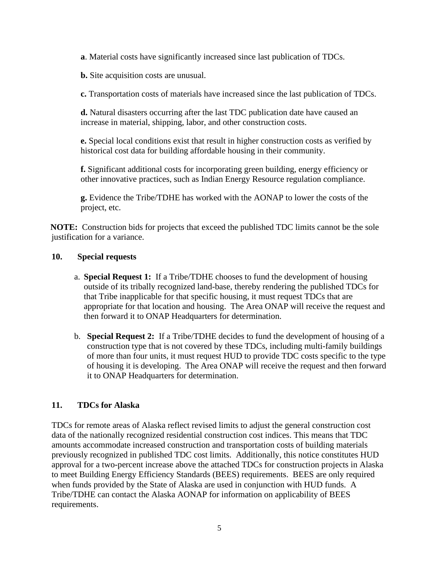**a**. Material costs have significantly increased since last publication of TDCs.

**b.** Site acquisition costs are unusual.

**c.** Transportation costs of materials have increased since the last publication of TDCs.

**d.** Natural disasters occurring after the last TDC publication date have caused an increase in material, shipping, labor, and other construction costs.

**e.** Special local conditions exist that result in higher construction costs as verified by historical cost data for building affordable housing in their community.

**f.** Significant additional costs for incorporating green building, energy efficiency or other innovative practices, such as Indian Energy Resource regulation compliance.

**g.** Evidence the Tribe/TDHE has worked with the AONAP to lower the costs of the project, etc.

 **NOTE:** Construction bids for projects that exceed the published TDC limits cannot be the sole justification for a variance.

#### **10. Special requests**

- a. **Special Request 1:** If a Tribe/TDHE chooses to fund the development of housing outside of its tribally recognized land-base, thereby rendering the published TDCs for that Tribe inapplicable for that specific housing, it must request TDCs that are appropriate for that location and housing. The Area ONAP will receive the request and then forward it to ONAP Headquarters for determination.
- b. **Special Request 2:** If a Tribe/TDHE decides to fund the development of housing of a construction type that is not covered by these TDCs, including multi-family buildings of more than four units, it must request HUD to provide TDC costs specific to the type of housing it is developing. The Area ONAP will receive the request and then forward it to ONAP Headquarters for determination.

### **11. TDCs for Alaska**

TDCs for remote areas of Alaska reflect revised limits to adjust the general construction cost data of the nationally recognized residential construction cost indices. This means that TDC amounts accommodate increased construction and transportation costs of building materials previously recognized in published TDC cost limits. Additionally, this notice constitutes HUD approval for a two-percent increase above the attached TDCs for construction projects in Alaska to meet Building Energy Efficiency Standards (BEES) requirements. BEES are only required when funds provided by the State of Alaska are used in conjunction with HUD funds. A Tribe/TDHE can contact the Alaska AONAP for information on applicability of BEES requirements.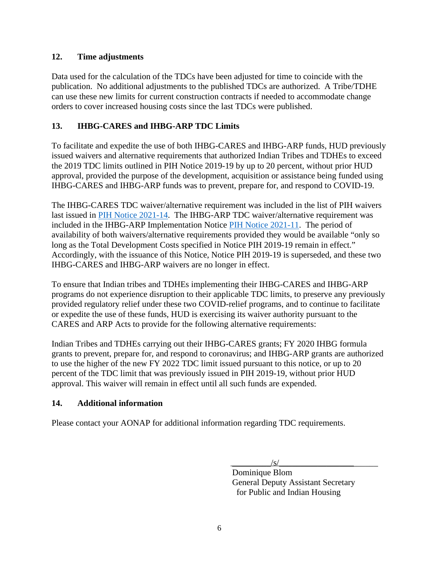### **12. Time adjustments**

Data used for the calculation of the TDCs have been adjusted for time to coincide with the publication. No additional adjustments to the published TDCs are authorized. A Tribe/TDHE can use these new limits for current construction contracts if needed to accommodate change orders to cover increased housing costs since the last TDCs were published.

# **13. IHBG-CARES and IHBG-ARP TDC Limits**

To facilitate and expedite the use of both IHBG-CARES and IHBG-ARP funds, HUD previously issued waivers and alternative requirements that authorized Indian Tribes and TDHEs to exceed the 2019 TDC limits outlined in PIH Notice 2019-19 by up to 20 percent, without prior HUD approval, provided the purpose of the development, acquisition or assistance being funded using IHBG-CARES and IHBG-ARP funds was to prevent, prepare for, and respond to COVID-19.

The IHBG-CARES TDC waiver/alternative requirement was included in the list of PIH waivers last issued in [PIH Notice 2021-14.](https://www.hud.gov/sites/dfiles/PIH/documents/PIH2021-14.pdf) The IHBG-ARP TDC waiver/alternative requirement was included in the IHBG-ARP Implementation Notice [PIH Notice 2021-11.](https://www.hud.gov/sites/dfiles/PIH/documents/pih2021-11.pdf) The period of availability of both waivers/alternative requirements provided they would be available "only so long as the Total Development Costs specified in Notice PIH 2019-19 remain in effect." Accordingly, with the issuance of this Notice, Notice PIH 2019-19 is superseded, and these two IHBG-CARES and IHBG-ARP waivers are no longer in effect.

To ensure that Indian tribes and TDHEs implementing their IHBG-CARES and IHBG-ARP programs do not experience disruption to their applicable TDC limits, to preserve any previously provided regulatory relief under these two COVID-relief programs, and to continue to facilitate or expedite the use of these funds, HUD is exercising its waiver authority pursuant to the CARES and ARP Acts to provide for the following alternative requirements:

Indian Tribes and TDHEs carrying out their IHBG-CARES grants; FY 2020 IHBG formula grants to prevent, prepare for, and respond to coronavirus; and IHBG-ARP grants are authorized to use the higher of the new FY 2022 TDC limit issued pursuant to this notice, or up to 20 percent of the TDC limit that was previously issued in PIH 2019-19, without prior HUD approval. This waiver will remain in effect until all such funds are expended.

### **14. Additional information**

Please contact your AONAP for additional information regarding TDC requirements.

 $\sqrt{s}$ /

Dominique Blom General Deputy Assistant Secretary for Public and Indian Housing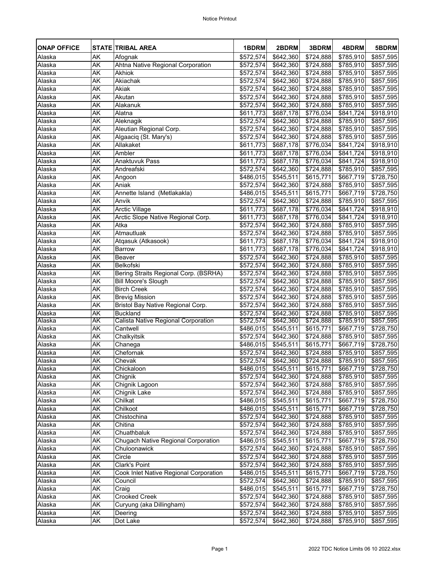| <b>ONAP OFFICE</b> |           | <b>STATE TRIBAL AREA</b>                      | 1BDRM                 | 2BDRM                 | 3BDRM                 | 4BDRM                 | 5BDRM                 |
|--------------------|-----------|-----------------------------------------------|-----------------------|-----------------------|-----------------------|-----------------------|-----------------------|
| Alaska             | AK        | Afognak                                       | \$572,574             | \$642,360             | \$724,888             | \$785,910             | \$857,595             |
| Alaska             | AK        | Ahtna Native Regional Corporation             | \$572,574             | \$642,360             | \$724,888             | \$785,910             | \$857,595             |
| Alaska             | AK        | <b>Akhiok</b>                                 | \$572,574             | \$642,360             | \$724,888             | \$785,910             | \$857,595             |
| Alaska             | <b>AK</b> | Akiachak                                      | \$572,574             | \$642,360             | \$724,888             | \$785,910             | \$857,595             |
| Alaska             | AK        | <b>Akiak</b>                                  | \$572,574             | \$642,360             | \$724,888             | \$785,910             | \$857,595             |
| Alaska             | AK        | Akutan                                        | \$572,574             | \$642,360             | \$724,888             | \$785,910             | \$857,595             |
| Alaska             | AK        | Alakanuk                                      | \$572,574             | \$642,360             | \$724,888             | \$785,910             | \$857,595             |
| Alaska             | AK        | Alatna                                        | \$611,773             | $\overline{$}687,178$ | \$776,034             | \$841,724]            | \$918,910             |
| Alaska             | AK        | Aleknagik                                     | \$572,574             | \$642,360             | $\overline{$}724,888$ | \$785,910             | \$857,595             |
| Alaska             | <b>AK</b> | Aleutian Regional Corp.                       | \$572,574             | \$642,360             | $\overline{$}724,888$ | $\overline{$785,910}$ | \$857,595             |
| Alaska             | AK        | Algaaciq (St. Mary's)                         | \$572,574             | \$642,360             | \$724,888             | \$785,910             | \$857,595             |
| Alaska             | AK        | Allakaket                                     | \$611,773             | \$687,178             | \$776,034             | \$841,724             | \$918,910             |
| Alaska             | <b>AK</b> | Ambler                                        | \$611,773]            | \$687,178             | \$776,034             | $\sqrt{$841,724}$     | \$918,910             |
| Alaska             | <b>AK</b> | <b>Anaktuvuk Pass</b>                         | \$611,773             | \$687,178             | \$776,034             | \$841,724             | \$918,910             |
| Alaska             | AK        | Andreafski                                    | \$572,574             | \$642,360             | \$724,888             | \$785,910             | \$857,595             |
| Alaska             | <b>AK</b> | Angoon                                        | \$486,015             | \$545,511             | \$615,771             | \$667,719             | \$728,750             |
| Alaska             | <b>AK</b> | Aniak                                         | \$572,574             | \$642,360             | \$724,888             | \$785,910             | \$857,595             |
| Alaska             | AK        | Annette Island (Metlakakla)                   | \$486,015             | \$545,511             | \$615,771             | \$667,719             | \$728,750             |
| Alaska             | AK        | Anvik                                         | \$572,574             | \$642,360             | \$724,888             | \$785,910             | \$857,595             |
| Alaska             | AK        | <b>Arctic Village</b>                         | \$611,773]            | \$687,178             | \$776,034             | \$841,724]            | \$918,910             |
| Alaska             | <b>AK</b> | Arctic Slope Native Regional Corp.            | \$611,773]            | \$687,178             | \$776,034             | \$841,724             | \$918,910             |
| Alaska             | <b>AK</b> | Atka                                          | \$572,574             | $\sqrt{$}642,360$     | \$724,888             | $\sqrt{$785,910}$     | \$857,595             |
| Alaska             | AK        | Atmautluak                                    | \$572,574             | \$642,360             | \$724,888             | \$785,910             | \$857,595             |
| Alaska             | <b>AK</b> | Atgasuk (Atkasook)                            | \$611,773             | \$687,178             | \$776,034             | \$841,724             | \$918,910             |
| Alaska             | AK        | <b>Barrow</b>                                 | \$611,773]            | \$687,178             | \$776,034             | $\sqrt{$841,724}$     | \$918,910             |
| Alaska             | AK        | <b>Beaver</b>                                 | \$572,574             | \$642,360             | \$724,888             | \$785,910             | \$857,595             |
| Alaska             | <b>AK</b> | <b>Belkofski</b>                              | \$572,574             | \$642,360             | \$724,888             | \$785,910             | $\overline{$857,595}$ |
| Alaska             | <b>AK</b> | Bering Straits Regional Corp. (BSRHA)         | \$572,574             | \$642,360             | \$724,888             | \$785,910             | \$857,595             |
| Alaska             | AK        | <b>Bill Moore's Slough</b>                    | \$572,574             | \$642,360             | \$724,888             | \$785,910             | \$857,595             |
| Alaska             | AK        | <b>Birch Creek</b>                            | \$572,574             | \$642,360             | \$724,888             | \$785,910             | \$857,595             |
| Alaska             | AK        | <b>Brevig Mission</b>                         | \$572,574]            | \$642,360             | \$724,888             | \$785,910             | \$857,595             |
| Alaska             | AK        | <b>Bristol Bay Native Regional Corp.</b>      | \$572,574             | \$642,360             | \$724,888             | \$785,910             | \$857,595             |
| Alaska             | AK        | <b>Buckland</b>                               | \$572,574             | \$642,360             | \$724,888             | \$785,910             | \$857,595             |
| Alaska             | <b>AK</b> | <b>Calista Native Regional Corporation</b>    | \$572,574]            | \$642,360             | \$724,888             | \$785,910             | \$857,595             |
| Alaska             | AK        | Cantwell                                      | \$486,015             | \$545,511             | \$615,771             | \$667,719             | \$728,750             |
| Alaska             | AK        | Chalkyitsik                                   | $\sqrt{3}572,574$     | \$642,360             | \$724,888             | \$785,910             | $\overline{$857,595}$ |
| Alaska             | AK        | Chanega                                       | \$486,015             | \$545,511             | \$615,771             | \$667,719             | \$728,750             |
| Alaska             | AK        | Chefornak                                     | \$572,574             | \$642,360             | \$724,888             | \$785,910             | \$857,595             |
| Alaska             | AK        | Chevak                                        | \$572,574             | \$642,360             | \$724,888             | \$785,910             | \$857,595             |
| Alaska             | AK        | Chickaloon                                    | \$486,015             | \$545,511             | \$615,771             | \$667,719             | \$728,750             |
| Alaska             | AK        | Chignik                                       | $\overline{$}572,574$ | \$642,360             | \$724,888             | \$785,910             | \$857,595             |
| Alaska             | AK        | Chignik Lagoon                                | \$572,574             | \$642,360             | \$724,888             | \$785,910             | \$857,595             |
| Alaska             | AK        | <b>Chignik Lake</b>                           | \$572,574             | \$642,360             | \$724,888             | \$785,910             | \$857,595             |
| Alaska             | AK        | Chilkat                                       | \$486,015             | \$545,511             | \$615,771             | \$667,719             | \$728,750             |
| Alaska             | AK        | Chilkoot                                      | \$486,015             | \$545,511             | \$615,771             | \$667,719             | \$728,750             |
| Alaska             | AK        | Chistochina                                   | \$572,574             | \$642,360             | \$724,888             | \$785,910             | \$857,595             |
| Alaska             | AK        | Chitina                                       | \$572,574]            | \$642,360             | \$724,888             | \$785,910             | \$857,595             |
| Alaska             | AK        | Chuathbaluk                                   | \$572,574             | \$642,360             | \$724,888             | \$785,910             | $\overline{$857,595}$ |
| Alaska             | AK        | <b>Chugach Native Regional Corporation</b>    | \$486,015             | \$545,511             | \$615,771             | $\sqrt{$667,719}$     | \$728,750             |
| Alaska             | AK        | Chuloonawick                                  | \$572,574             | \$642,360             | \$724,888             | \$785,910             | \$857,595             |
| Alaska             | AK        | Circle                                        | \$572,574             | \$642,360             | \$724,888             | \$785,910             | \$857,595             |
| Alaska             | AK        | <b>Clark's Point</b>                          | \$572,574             | \$642,360             | \$724,888             | \$785,910             | \$857,595             |
| Alaska             | AK        | <b>Cook Inlet Native Regional Corporation</b> | \$486,015             | \$545,511             | \$615,771             | \$667,719             | \$728,750             |
| Alaska             | AK        | Council                                       | \$572,574             | \$642,360             | \$724,888             | \$785,910             | \$857,595             |
| Alaska             | AK        | Craig                                         | \$486,015             | \$545,511             | \$615,771             | \$667,719             | \$728,750             |
| Alaska             | <b>AK</b> | <b>Crooked Creek</b>                          | \$572,574             | \$642,360             | \$724,888             | \$785,910             | \$857,595             |
| Alaska             | <b>AK</b> | Curyung (aka Dillingham)                      | \$572,574             | \$642,360             | \$724,888             | \$785,910             | \$857,595             |
| Alaska             | AK        | Deering                                       | \$572,574             | \$642,360             | \$724,888             | \$785,910             | \$857,595             |
| Alaska             | AK        | Dot Lake                                      | \$572,574             | \$642,360             | \$724,888             | \$785,910             | \$857,595             |
|                    |           |                                               |                       |                       |                       |                       |                       |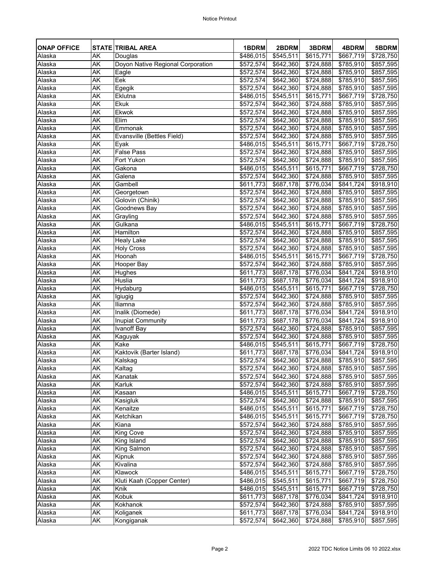| <b>ONAP OFFICE</b> |                 | <b>STATE TRIBAL AREA</b>          | 1BDRM                  | 2BDRM                  | 3BDRM                  | 4BDRM                               | 5BDRM                  |
|--------------------|-----------------|-----------------------------------|------------------------|------------------------|------------------------|-------------------------------------|------------------------|
| Alaska             | AK              | Douglas                           | \$486,015              | $\overline{$}545,511$  | $\sqrt{$615,771}$      | $\sqrt{$667,719}$                   | \$728,750              |
| Alaska             | AK              | Doyon Native Regional Corporation | \$572,574              | \$642,360              | \$724,888              | \$785,910                           | \$857,595              |
| Alaska             | AK              | Eagle                             | \$572,574              | \$642,360              | \$724,888              | \$785,910                           | \$857,595              |
| Alaska             | <b>AK</b>       | Eek                               | \$572,574              | \$642,360              | \$724,888              | \$785,910                           | \$857,595              |
| Alaska             | AK              | Egegik                            | \$572,574              | \$642,360              | \$724,888              | \$785,910                           | $\overline{$857,595}$  |
| Alaska             | AK              | Eklutna                           | \$486,015              | \$545,511              | \$615,771              | \$667,719                           | \$728,750              |
| Alaska             | AK              | <b>Ekuk</b>                       | \$572,574              | \$642,360              | $\overline{$}724,888$  | $\overline{$785,910}$               | \$857,595              |
| Alaska             | <b>AK</b>       | <b>Ekwok</b>                      | \$572,574              | \$642,360              | \$724,888              | \$785,910                           | \$857,595              |
| Alaska             | AK              | Elim                              | \$572,574              | $\sqrt{$642,360}$      | \$724,888              | \$785,910                           | \$857,595              |
| Alaska             | <b>AK</b>       | Emmonak                           | \$572,574              | \$642,360              | \$724,888              | \$785,910                           | \$857,595              |
| Alaska             | AK              | Evansville (Bettles Field)        | \$572,574              | \$642,360              | \$724,888              | \$785,910                           | \$857,595              |
| Alaska             | <b>AK</b>       | Eyak                              | $\overline{$}486,015$  | \$545,511              | \$615,771              | \$667,719                           | \$728,750              |
| Alaska             | AK              | <b>False Pass</b>                 | \$572,574              | \$642,360              | \$724,888              | \$785,910                           | \$857,595              |
| Alaska             | <b>AK</b>       | Fort Yukon<br>Gakona              | \$572,574              | \$642,360              | \$724,888              | \$785,910                           | \$857,595              |
| Alaska             | AK              |                                   | \$486,015              | \$545,511              | \$615,771]             | \$667,719                           | \$728,750              |
| Alaska             | AK              | Galena                            | \$572,574              | \$642,360              | \$724,888<br>\$776,034 | $\overline{$785,910}$<br>\$841,724] | \$857,595              |
| Alaska<br>Alaska   | AK<br><b>AK</b> | Gambell                           | \$611,773              | \$687,178              |                        | \$785,910                           | \$918,910              |
|                    |                 | Georgetown                        | \$572,574              | \$642,360              | \$724,888              |                                     | \$857,595              |
| Alaska<br>Alaska   | <b>AK</b><br>AK | Golovin (Chinik)<br>Goodnews Bay  | \$572,574<br>\$572,574 | \$642,360              | \$724,888<br>\$724,888 | $\overline{$785,910}$<br>\$785,910  | \$857,595              |
|                    | AK              |                                   |                        | \$642,360              |                        |                                     | \$857,595              |
| Alaska<br>Alaska   | <b>AK</b>       | Grayling<br>Gulkana               | \$572,574<br>\$486,015 | \$642,360<br>\$545,511 | \$724,888<br>\$615,771 | \$785,910<br>\$667,719              | \$857,595<br>\$728,750 |
| Alaska             | AK              | Hamilton                          | \$572,574              | \$642,360              | \$724,888              | $\overline{$785,910}$               | \$857,595              |
| Alaska             | AK              | <b>Healy Lake</b>                 | \$572,574              | \$642,360              | $\overline{$}724,888$  | \$785,910                           | $\overline{$857,595}$  |
| Alaska             | <b>AK</b>       | <b>Holy Cross</b>                 | \$572,574              | \$642,360              | \$724,888              | \$785,910                           | $\overline{$857,595}$  |
| Alaska             | AK              | Hoonah                            | \$486,015              | $\overline{$}545,511$  | \$615,771              | \$667,719                           | \$728,750              |
| Alaska             | <b>AK</b>       | Hooper Bay                        | \$572,574              | \$642,360              | \$724,888              | \$785,910                           | \$857,595              |
| Alaska             | AK              | Hughes                            | \$611,773]             | \$687,178              | \$776,034              | \$841,724                           | \$918,910              |
| Alaska             | AK              | Huslia                            | \$611,773]             | \$687,178              | $\sqrt{3776,034}$      | \$841,724]                          | \$918,910              |
| Alaska             | AK              | Hydaburg                          |                        | $$486,015$ $$545,511$  | \$615,771]             | \$667,719                           | \$728,750              |
| Alaska             | AK              | Igiugig                           | \$572,574              | \$642,360              | \$724,888              | $\sqrt{3785,910}$                   | \$857,595              |
| Alaska             | AK              | <b>Iliamna</b>                    | \$572,574              | \$642,360              | \$724,888              | \$785,910                           | \$857,595              |
| Alaska             | AK              | Inalik (Diomede)                  | \$611,773              | \$687,178              | \$776,034              | \$841,724                           | \$918,910              |
| Alaska             | <b>AK</b>       | <b>Inupiat Community</b>          | \$611,773]             | \$687,178              | \$776,034              | \$841,724]                          | \$918,910              |
| Alaska             | AK              | <b>Ivanoff Bay</b>                | \$572,574]             | \$642,360              | \$724,888              | \$785,910                           | \$857,595              |
| Alaska             | AK              | Kaguyak                           | \$572,574              | \$642,360              | \$724,888              | \$785,910                           | $\overline{$857,595}$  |
| Alaska             | AK              | Kake                              | \$486,015              | \$545,511              | \$615,771              | \$667,719                           | \$728,750              |
| Alaska             | AK              | Kaktovik (Barter Island)          | \$611,773]             | $\sqrt{$687,178}$      | \$776,034              | $\sqrt{$841,724}$                   | \$918,910              |
| Alaska             | AK              | Kalskag                           | $\overline{$}572,574$  | \$642,360              | \$724,888              | \$785,910                           | \$857,595              |
| Alaska             | AK              | Kaltag                            | \$572,574              | \$642,360              | \$724,888              | \$785,910                           | \$857,595              |
| Alaska             | AK              | Kanatak                           | \$572,574              | \$642,360              | \$724,888              | \$785,910                           | \$857,595              |
| Alaska             | AK              | Karluk                            | \$572,574              | \$642,360              | \$724,888              | \$785,910                           | \$857,595              |
| Alaska             | AK              | Kasaan                            | \$486,015              | \$545,511              | \$615,771]             | \$667,719                           | \$728,750              |
| Alaska             | AK              | Kasigluk                          | \$572,574              | \$642,360              | \$724,888              | \$785,910                           | \$857,595              |
| Alaska             | AK              | Kenaitze                          | \$486,015              | \$545,511              | \$615,771]             | \$667,719                           | \$728,750              |
| Alaska             | AK              | Ketchikan                         | \$486,015              | \$545,511              | \$615,771              | \$667,719                           | \$728,750              |
| Alaska             | AK              | Kiana                             | \$572,574              | \$642,360              | \$724,888              | \$785,910                           | \$857,595              |
| Alaska             | AK              | <b>King Cove</b>                  | \$572,574              | \$642,360              | \$724,888              | \$785,910                           | \$857,595              |
| Alaska             | AK              | King Island                       | \$572,574              | \$642,360              | \$724,888              | \$785,910                           | \$857,595              |
| Alaska             | AK              | <b>King Salmon</b>                | \$572,574              | \$642,360              | \$724,888              | \$785,910                           | \$857,595              |
| Alaska             | AK              | Kipnuk                            | $\overline{$}572,574$  | \$642,360              | \$724,888              | \$785,910                           | \$857,595              |
| Alaska             | AK              | Kivalina                          | \$572,574              | \$642,360              | \$724,888              | \$785,910                           | \$857,595              |
| Alaska             | AK              | Klawock                           | \$486,015              | \$545,511              | \$615,771              | \$667,719                           | \$728,750              |
| Alaska             | AK              | Kluti Kaah (Copper Center)        | \$486,015              | \$545,511              | \$615,771              | \$667,719                           | \$728,750              |
| Alaska             | <b>AK</b>       | Knik                              | \$486,015              | \$545,511              | \$615,771]             | $\sqrt{$667,719}$                   | \$728,750              |
| Alaska             | <b>AK</b>       | Kobuk                             | \$611,773]             | \$687,178              | $\overline{$}776,034$  | \$841,724]                          | \$918,910              |
| Alaska             | <b>AK</b>       | <b>Kokhanok</b>                   | \$572,574              | \$642,360              | \$724,888              | \$785,910                           | \$857,595              |
| Alaska             | <b>AK</b>       | Koliganek                         | \$611,773]             | \$687,178              | \$776,034              | \$841,724]                          | \$918,910              |
| Alaska             | AK              | Kongiganak                        | \$572,574              | \$642,360              | \$724,888              | \$785,910                           | \$857,595              |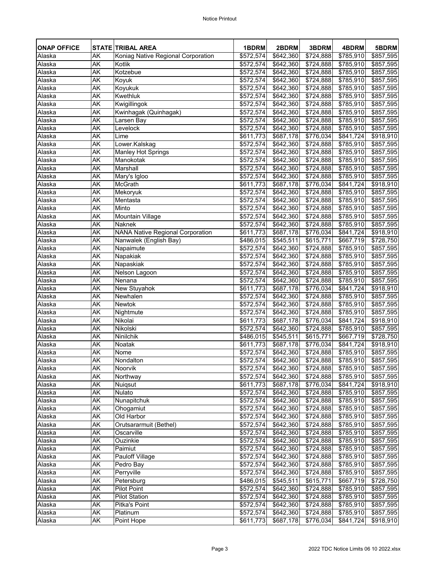| <b>ONAP OFFICE</b> |           | <b>STATE TRIBAL AREA</b>                | 1BDRM                 | 2BDRM                 | 3BDRM             | 4BDRM                 | 5BDRM                 |
|--------------------|-----------|-----------------------------------------|-----------------------|-----------------------|-------------------|-----------------------|-----------------------|
| Alaska             | AK        | Koniag Native Regional Corporation      | \$572,574             | \$642,360             | $\sqrt{$724,888}$ | $\overline{$785,910}$ | \$857,595             |
| Alaska             | AK        | <b>Kotlik</b>                           | $\overline{$}572,574$ | \$642,360             | \$724,888         | \$785,910             | \$857,595             |
| Alaska             | AK        | Kotzebue                                | \$572,574             | $\sqrt{$642,360}$     | \$724,888         | \$785,910             | \$857,595             |
| Alaska             | AK        | Koyuk                                   | \$572,574             | \$642,360             | \$724,888         | \$785,910             | \$857,595             |
| Alaska             | AK        | Koyukuk                                 | \$572,574             | \$642,360             | \$724,888         | $\sqrt{$785,910}$     | \$857,595             |
| Alaska             | AK        | <b>Kwethluk</b>                         | \$572,574             | \$642,360             | \$724,888         | \$785,910             | \$857,595             |
| Alaska             | <b>AK</b> | Kwigillingok                            | \$572,574             | \$642,360             | \$724,888         | \$785,910             | \$857,595             |
| Alaska             | <b>AK</b> | Kwinhagak (Quinhagak)                   | \$572,574             | \$642,360             | \$724,888         | \$785,910             | \$857,595             |
| Alaska             | AK        | Larsen Bay                              | \$572,574             | \$642,360             | \$724,888         | \$785,910             | \$857,595             |
| Alaska             | AK        | Levelock                                | $\overline{$}572,574$ | \$642,360             | \$724,888         | \$785,910             | $\overline{$857,595}$ |
| Alaska             | AK        | Lime                                    | \$611,773]            | \$687,178             | \$776,034         | \$841,724]            | \$918,910             |
| Alaska             | AK        | Lower.Kalskag                           | \$572,574             | \$642,360             | \$724,888         | \$785,910             | \$857,595             |
| Alaska             | AK        | Manley Hot Springs                      | \$572,574             | \$642,360             | \$724,888         | \$785,910             | \$857,595             |
| Alaska             | <b>AK</b> | Manokotak                               | \$572,574             | \$642,360             | \$724,888         | \$785,910             | \$857,595             |
| Alaska             | AK        | Marshall                                | \$572,574             | \$642,360             | \$724,888         | $\overline{$785,910}$ | \$857,595             |
| Alaska             | AK        | Mary's Igloo                            | \$572,574             | \$642,360             | \$724,888         | \$785,910             | \$857,595             |
| Alaska             | AK        | <b>McGrath</b>                          | \$611,773             | \$687,178             | \$776,034         | \$841,724]            | \$918,910             |
| Alaska             | AK        | Mekoryuk                                | \$572,574             | \$642,360             | \$724,888         | \$785,910             | \$857,595             |
| Alaska             | ΑK        | Mentasta                                | \$572,574             | \$642,360             | \$724,888         | \$785,910             | \$857,595             |
| Alaska             | AK        | Minto                                   | \$572,574             | \$642,360             | \$724,888         | \$785,910             | \$857,595             |
| Alaska             | AK        | <b>Mountain Village</b>                 | \$572,574             | \$642,360             | \$724,888         | \$785,910             | \$857,595             |
| Alaska             | AK        | <b>Naknek</b>                           | \$572,574             | \$642,360             | \$724,888         | \$785,910             | $\overline{$857,595}$ |
| Alaska             | AK        | <b>NANA Native Regional Corporation</b> | \$611,773]            | \$687,178             | \$776,034         | \$841,724]            | \$918,910             |
| Alaska             | AK        | Nanwalek (English Bay)                  | \$486,015             | $\overline{$}545,511$ | \$615,771         | \$667,719             | \$728,750             |
| Alaska             | AK        | Napaimute                               | \$572,574             | \$642,360             | \$724,888         | \$785,910             | \$857,595             |
| Alaska             | <b>AK</b> | Napakiak                                | \$572,574             | \$642,360             | \$724,888         | \$785,910             | \$857,595             |
| Alaska             | AK        | Napaskiak                               | \$572,574             | \$642,360             | \$724,888         | $\overline{$}785,910$ | \$857,595             |
| Alaska             | AK        | Nelson Lagoon                           | \$572,574             | \$642,360             | \$724,888         | \$785,910             | \$857,595             |
| Alaska             | AK        | Nenana                                  | \$572,574             | \$642,360             | \$724,888         | \$785,910             | \$857,595             |
| Alaska             | AK        | <b>New Stuyahok</b>                     | \$611,773             | \$687,178             | \$776,034         | \$841,724]            | \$918,910             |
| Alaska             | АK        | Newhalen                                | \$572,574             | \$642,360             | \$724,888         | \$785,910             | \$857,595             |
| Alaska             | <b>AK</b> | <b>Newtok</b>                           | \$572,574             | \$642,360             | \$724,888         | \$785,910             | \$857,595             |
| Alaska             | AK        | Nightmute                               | \$572,574]            | \$642,360             | \$724,888         | \$785,910             | \$857,595             |
| Alaska             | AK        | Nikolai                                 | \$611,773]            | \$687,178             | \$776,034         | \$841,724]            | \$918,910             |
| Alaska             | AK        | Nikolski                                | \$572,574             | \$642,360             | \$724,888         | \$785,910             | \$857,595             |
| Alaska             | АK        | Ninilchik                               | $\sqrt{486,015}$      | \$545,511             | \$615,771         | \$667,719             | \$728,750             |
| Alaska             | AK        | <b>Noatak</b>                           | \$611,773             | \$687,178             | \$776,034         | \$841,724]            | \$918,910             |
| Alaska             | AK        | Nome                                    | \$572,574             | \$642,360             | \$724,888         | \$785,910             | \$857,595             |
| Alaska             | AK        | Nondalton                               | \$572,574             | \$642,360             | \$724,888         | \$785,910             | \$857,595             |
| Alaska             | AK        | <b>Noorvik</b>                          | \$572,574             | \$642,360             | \$724,888         | \$785,910             | \$857,595             |
| Alaska             | AK        | Northway                                | \$572,574             | $\sqrt{642,360}$      | \$724,888         | \$785,910             | \$857,595             |
| Alaska             | AK        | Nuiqsut                                 | \$611,773]            | \$687,178             | \$776,034         | \$841,724]            | \$918,910             |
| Alaska             | AK        | <b>Nulato</b>                           | \$572,574             | \$642,360             | \$724,888         | \$785,910             | \$857,595             |
| Alaska             | AK        | Nunapitchuk                             | \$572,574             | \$642,360             | \$724,888         | \$785,910             | \$857,595             |
| Alaska             | АK        | Ohogamiut                               | $\sqrt{$}572,574$     | \$642,360             | \$724,888         | \$785,910             | \$857,595             |
| Alaska             | AK        | Old Harbor                              | \$572,574             | \$642,360             | \$724,888         | \$785,910             | $\overline{$857,595}$ |
| Alaska             | AK        | Orutsararmuit (Bethel)                  | \$572,574             | \$642,360             | \$724,888         | \$785,910             | \$857,595             |
| Alaska             | АK        | Oscarville                              | \$572,574]            | \$642,360             | \$724,888         | \$785,910             | \$857,595             |
| Alaska             | AK        | Ouzinkie                                | \$572,574             | \$642,360             | \$724,888         | \$785,910             | \$857,595             |
| Alaska             | <b>AK</b> | Paimiut                                 | \$572,574             | \$642,360             | \$724,888         | \$785,910             | \$857,595             |
| Alaska             | AK        | <b>Pauloff Village</b>                  | \$572,574             | \$642,360             | \$724,888         | \$785,910             | \$857,595             |
| Alaska             | <b>AK</b> | Pedro Bay                               | \$572,574]            | \$642,360             | \$724,888         | \$785,910             | \$857,595             |
| Alaska             | AK        | Perryville                              | \$572,574             | \$642,360             | \$724,888         | $\sqrt{3785,910}$     | \$857,595             |
| Alaska             | AK        | Petersburg                              | \$486,015             | \$545,511             | \$615,771         | \$667,719             | \$728,750             |
| Alaska             | AK        | <b>Pilot Point</b>                      | \$572,574             | \$642,360             | \$724,888         | \$785,910             | \$857,595             |
| Alaska             | AK        | <b>Pilot Station</b>                    | \$572,574             | \$642,360             | $\sqrt{3724,888}$ | \$785,910             | \$857,595             |
| Alaska             | AK        | Pitka's Point                           | \$572,574             | \$642,360             | \$724,888         | \$785,910             | \$857,595             |
| Alaska             | <b>AK</b> | Platinum                                | \$572,574             | \$642,360             | \$724,888         | \$785,910             | \$857,595             |
| Alaska             | AK        | Point Hope                              | \$611,773             | \$687,178             | \$776,034         | \$841,724             | \$918,910             |
|                    |           |                                         |                       |                       |                   |                       |                       |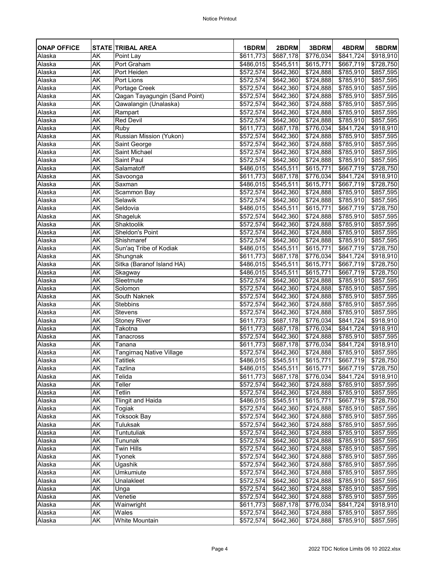| <b>ONAP OFFICE</b> |           | <b>STATE TRIBAL AREA</b>        | 1BDRM                 | 2BDRM             | 3BDRM                 | 4BDRM                 | 5BDRM                 |
|--------------------|-----------|---------------------------------|-----------------------|-------------------|-----------------------|-----------------------|-----------------------|
| Alaska             | AK        | Point Lay                       | \$611,773             | \$687,178         | $\overline{$776,034}$ | $\sqrt{841,724}$      | \$918,910             |
| Alaska             | AK        | Port Graham                     | \$486,015             | \$545,511         | \$615,771             | $\overline{$667,719}$ | \$728,750             |
| Alaska             | AK        | Port Heiden                     | \$572,574             | \$642,360         | \$724,888             | \$785,910             | \$857,595             |
| Alaska             | AK        | Port Lions                      | \$572,574             | \$642,360         | \$724,888             | \$785,910             | \$857,595             |
| Alaska             | AK        | Portage Creek                   | \$572,574             | \$642,360         | \$724,888             | \$785,910             | \$857,595             |
| Alaska             | AK        | Qagan Tayagungin (Sand Point)   | \$572,574             | \$642,360         | \$724,888             | \$785,910             | \$857,595             |
| Alaska             | <b>AK</b> | Qawalangin (Unalaska)           | \$572,574             | \$642,360         | \$724,888             | \$785,910             | \$857,595             |
| Alaska             | AK        | Rampart                         | \$572,574             | \$642,360         | \$724,888             | \$785,910             | \$857,595             |
| Alaska             | AK        | <b>Red Devil</b>                | \$572,574             | \$642,360         | \$724,888             | \$785,910             | \$857,595             |
| Alaska             | <b>AK</b> | Ruby                            | \$611,773]            | \$687,178         | \$776,034             | \$841,724             | \$918,910             |
| Alaska             | AK        | Russian Mission (Yukon)         | \$572,574             | \$642,360         | \$724,888             | \$785,910             | \$857,595             |
| Alaska             | AK        | Saint George                    | \$572,574             | \$642,360         | \$724,888             | \$785,910             | $\overline{$857,595}$ |
| Alaska             | <b>AK</b> | <b>Saint Michael</b>            | \$572,574             | \$642,360         | $\sqrt{$724,888}$     | \$785,910             | \$857,595             |
| Alaska             | AK        | <b>Saint Paul</b>               | \$572,574             | \$642,360         | \$724,888             | \$785,910             | \$857,595             |
| Alaska             | AK        | Salamatoff                      | \$486,015             | \$545,511         | \$615,771             | \$667,719             | \$728,750             |
| Alaska             | AK        | Savoonga                        | \$611,773             | \$687,178         | \$776,034             | \$841,724             | \$918,910             |
| Alaska             | AK        | Saxman                          | $\sqrt{486,015}$      | \$545,511         | \$615,771             | \$667,719             | \$728,750             |
| Alaska             | <b>AK</b> | Scammon Bay                     | \$572,574             | \$642,360         | \$724,888             | \$785,910             | \$857,595             |
| Alaska             | <b>AK</b> | Selawik                         | \$572,574             | \$642,360         | $\sqrt{$724,888}$     | $\overline{$785,910}$ | \$857,595             |
| Alaska             | AK        | Seldovia                        | \$486,015             | \$545,511         | \$615,771             | \$667,719             | \$728,750             |
| Alaska             | AK        | Shageluk                        | \$572,574             | \$642,360         | \$724,888             | \$785,910             | \$857,595             |
| Alaska             | AK        | Shaktoolik                      | \$572,574             | \$642,360         | \$724,888             | \$785,910             | \$857,595             |
| Alaska             | AK        | <b>Sheldon's Point</b>          | \$572,574             | \$642,360         | $\overline{$}724,888$ | \$785,910             | \$857,595             |
| Alaska             | AK        | Shishmaref                      | \$572,574             | \$642,360         | \$724,888             | \$785,910             | $\overline{$857,595}$ |
| Alaska             | <b>AK</b> | Sun'aq Tribe of Kodiak          | \$486,015             | \$545,511         | \$615,771             | \$667,719             | \$728,750             |
| Alaska             | AK        | Shungnak                        | \$611,773             | \$687,178         | \$776,034             | \$841,724             | \$918,910             |
| Alaska             | AK        | Sitka (Baranof Island HA)       | \$486,015             | \$545,511         | \$615,771             | \$667,719             | \$728,750             |
| Alaska             | ΑK        | Skagway                         | \$486,015             | \$545,511         | \$615,771]            | \$667,719             | \$728,750             |
| Alaska             | AK        | Sleetmute                       | \$572,574             | $\sqrt{$642,360}$ | $\sqrt{$724,888}$     | \$785,910             | \$857,595             |
| Alaska             | АK        | Solomon                         | \$572,574             | \$642,360         | \$724,888             | \$785,910             | \$857,595             |
| Alaska             | AK        | South Naknek                    | $\overline{$}572,574$ | $\sqrt{642,360}$  | \$724,888             | \$785,910             | \$857,595             |
| Alaska             | AK        | Stebbins                        | \$572,574             | \$642,360         | \$724,888             | \$785,910             | \$857,595             |
| Alaska             | AK        | <b>Stevens</b>                  | \$572,574             | \$642,360         | \$724,888             | \$785,910             | \$857,595             |
| Alaska             | <b>AK</b> | <b>Stoney River</b>             | \$611,773             | \$687,178         | \$776,034             | \$841,724]            | \$918,910             |
| Alaska             | AK        | Takotna                         | \$611,773]            | \$687,178         | \$776,034             | \$841,724]            | \$918,910             |
| Alaska             | AK        | <b>Tanacross</b>                | \$572,574             | \$642,360         | \$724,888             | $\sqrt{3785,910}$     | \$857,595             |
| Alaska             | <b>AK</b> | Tanana                          | \$611,773             | \$687,178         | \$776,034             | \$841,724             | \$918,910             |
| Alaska             | AK        | <b>Tangirnaq Native Village</b> | \$572,574]            | $\sqrt{$642,360}$ | \$724,888             | \$785,910             | \$857,595             |
| Alaska             | AK        | <b>Tatitlek</b>                 | \$486,015             | \$545,511         | \$615,771]            | \$667,719             | \$728,750             |
| Alaska             | AK        | <b>Tazlina</b>                  | \$486,015             | \$545,511         | \$615,771]            | \$667,719             | \$728,750             |
| Alaska             | AK        | Telida                          | \$611,773             | \$687,178         | \$776,034             | $\sqrt{$841,724}$     | \$918,910             |
| Alaska             | АK        | <b>Teller</b>                   | \$572,574             | \$642,360         | \$724,888             | \$785,910             | \$857,595             |
| Alaska             | AK        | <b>Tetlin</b>                   | \$572,574             | \$642,360         | \$724,888             | \$785,910             | \$857,595             |
| Alaska             | AK        | <b>Tlingit and Haida</b>        | \$486,015             | \$545,511         | \$615,771]            | \$667,719             | \$728,750             |
| Alaska             | AK        | Togiak                          | \$572,574             | \$642,360         | \$724,888             | \$785,910             | \$857,595             |
| Alaska             | AK        | <b>Toksook Bay</b>              | \$572,574             | \$642,360         | \$724,888             | \$785,910             | \$857,595             |
| Alaska             | AK        | <b>Tuluksak</b>                 | \$572,574             | \$642,360         | \$724,888             | \$785,910             | \$857,595             |
| Alaska             | АK        | Tuntutuliak                     | $\overline{$}572,574$ | \$642,360         | \$724,888             | \$785,910             | \$857,595             |
| Alaska             | AK        | Tununak                         | \$572,574             | \$642,360         | \$724,888             | \$785,910             | \$857,595             |
| Alaska             | AK        | <b>Twin Hills</b>               | \$572,574             | \$642,360         | \$724,888             | \$785,910             | \$857,595             |
| Alaska             | AK        | <b>Tyonek</b>                   | \$572,574             | \$642,360         | \$724,888             | \$785,910             | \$857,595             |
| Alaska             | AK        | Ugashik                         | \$572,574             | \$642,360         | \$724,888             | \$785,910             | \$857,595             |
| Alaska             | AK        | <b>Umkumiute</b>                | \$572,574             | \$642,360         | $\overline{$}724,888$ | \$785,910             | \$857,595             |
| Alaska             | AK        | Unalakleet                      | \$572,574             | \$642,360         | \$724,888             | \$785,910             | \$857,595             |
| Alaska             | AK        | Unga                            | \$572,574             | \$642,360         | \$724,888             | \$785,910             | \$857,595             |
| Alaska             | AK        | Venetie                         | \$572,574             | \$642,360         | $\sqrt{$724,888}$     | \$785,910             | \$857,595             |
| Alaska             | <b>AK</b> | Wainwright                      | $\sqrt{3611,773}$     | \$687,178         | \$776,034             | \$841,724             | \$918,910             |
| Alaska             | AK        | Wales                           | \$572,574             | \$642,360         | \$724,888             | \$785,910             | \$857,595             |
| Alaska             | AK        | <b>White Mountain</b>           | \$572,574             | \$642,360         | \$724,888             | \$785,910             | \$857,595             |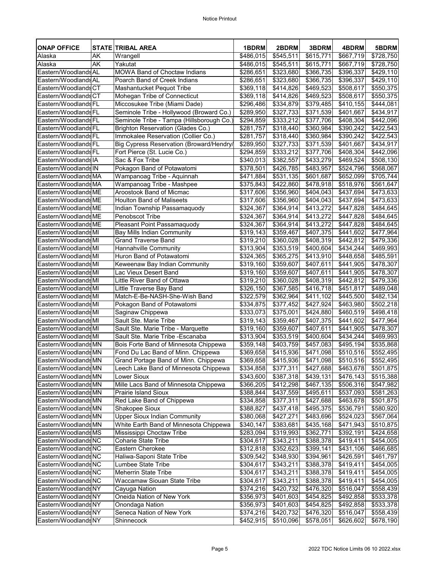| <b>ONAP OFFICE</b>   |    | <b>STATE TRIBAL AREA</b>                  | 1BDRM                 | 2BDRM                  | 3BDRM                  | 4BDRM                 | 5BDRM                 |
|----------------------|----|-------------------------------------------|-----------------------|------------------------|------------------------|-----------------------|-----------------------|
| Alaska               | AK | Wrangell                                  | \$486,015             | $\overline{$}545,511$  | \$615,771              | $\overline{$667,719}$ | \$728,750             |
| Alaska               | AK | Yakutat                                   | \$486,015             | \$545,511              | \$615,771              | \$667,719             | \$728,750             |
| Eastern/WoodlandsAL  |    | <b>MOWA Band of Choctaw Indians</b>       | \$286,651             | \$323,680              | \$366,735              | \$396,337             | \$429,110             |
| Eastern/WoodlandsAL  |    | Poarch Band of Creek Indians              | \$286,651             | \$323,680              | \$366,735              | $\overline{$396,337}$ | \$429,110             |
| Eastern/WoodlandsCT  |    | <b>Mashantucket Pequot Tribe</b>          | $\overline{$}369,118$ | $\sqrt{3}414,826$      | \$469,523              | \$508,617             | \$550,375             |
| Eastern/WoodlandsCT  |    | Mohegan Tribe of Connecticut              | \$369,118             | \$414,826              | \$469,523              | \$508,617             | \$550,375             |
| Eastern/WoodlandsFL  |    | Miccosukee Tribe (Miami Dade)             | \$296,486             | \$334,879              | \$379,485              | $\overline{$}410,155$ | \$444,081             |
| Eastern/WoodlandsFL  |    | Seminole Tribe - Hollywood (Broward Co.)  | \$289,950             | \$327,733              | \$371,539              | \$401,667             | \$434,917             |
| Eastern/WoodlandsFL  |    | Seminole Tribe - Tampa (Hillsborough Co.) | \$294,859             | \$333,212              | \$377,706              | \$408,304             | \$442,096             |
| Eastern/WoodlandsFL  |    | <b>Brighton Reservation (Glades Co.)</b>  | $\overline{$281,757}$ | $\overline{$318,440}$  | \$360,984              | \$390,242             | \$422,543             |
| Eastern/WoodlandsFL  |    | Immokalee Reservation (Collier Co.)       | \$281,757             | \$318,440              | \$360,984              | \$390,242             | \$422,543             |
| Eastern/WoodlandsFL  |    | Big Cypress Reservation (Broward/Hendry/  | \$289,950             | \$327,733              | \$371,539              | \$401,667             | \$434,917             |
| Eastern/Woodlands FL |    | Fort Pierce (St. Lucie Co.)               | \$294,859             | \$333,212              | \$377,706              | \$408,304             | \$442,096             |
| Eastern/WoodlandsIA  |    | Sac & Fox Tribe                           | \$340,013             | \$382,557              | \$433,279              | \$469,524             | \$508,130             |
| Eastern/Woodlands IN |    | Pokagon Band of Potawatomi                | \$378,501             | \$426,785              | \$483,957              | \$524,796             | \$568,067             |
| Eastern/WoodlandsMA  |    | Wampanoag Tribe - Aquinnah                | $\sqrt{3}471,884$     | \$531,135              | \$601,687              | \$652,099             | \$705,744             |
| Eastern/WoodlandsMA  |    | <b>Wampanoag Tribe - Mashpee</b>          | \$375,843             | \$422,860              | $\sqrt{3478,918}$      | $\sqrt{$518,976}$     | \$561,647             |
| Eastern/WoodlandsME  |    | <b>Aroostook Band of Micmac</b>           | \$317,606             | \$356,960              | \$404,043              | $\sqrt{3437,694}$     | \$473,633             |
| Eastern/WoodlandsME  |    | <b>Houlton Band of Maliseets</b>          | $\sqrt{$317,606}$     | \$356,960              | \$404,043              | \$437,694             | \$473,633             |
| Eastern/WoodlandsME  |    | Indian Township Passamaquody              | \$324,367             | \$364,914              | \$413,272              | \$447,828             | \$484,645             |
| Eastern/WoodlandsME  |    | <b>Penobscot Tribe</b>                    | \$324,367             | \$364,914              | \$413,272              | \$447,828             | \$484,645             |
| Eastern/WoodlandsME  |    | Pleasant Point Passamaquody               | \$324,367             | \$364,914              | \$413,272              | \$447,828             | \$484,645             |
| Eastern/Woodlands MI |    | <b>Bay Mills Indian Community</b>         | \$319,143             | \$359,467              | \$407,375              | \$441,602             | \$477,964             |
| Eastern/Woodlands MI |    | <b>Grand Traverse Band</b>                | $\overline{$319,210}$ | \$360,028              | \$408,319              | \$442,812             | \$479,336             |
| Eastern/Woodlands MI |    | <b>Hannahville Community</b>              | \$313,904             | \$353,519              | \$400,604              | $\sqrt{$434,244}$     | \$469,993             |
| Eastern/Woodlands MI |    | Huron Band of Potawatomi                  | \$324,365             | \$365,275              | \$413,910              | \$448,658             | \$485,591             |
| Eastern/Woodlands MI |    | Keweenaw Bay Indian Community             | \$319,160             | \$359,607              | \$407,611              | \$441,905             | \$478,307             |
| Eastern/Woodlands MI |    | Lac Vieux Desert Band                     | \$319,160             | \$359,607              | \$407,611              | \$441,905             | \$478,307             |
| Eastern/Woodlands MI |    | Little River Band of Ottawa               | \$319,210             | \$360,028              | \$408,319              | \$442,812             | \$479,336             |
| Eastern/Woodlands MI |    | Little Traverse Bay Band                  | \$326,150             | \$367,585              | \$416,718              | \$451,817             | \$489,048             |
| Eastern/Woodlands MI |    | Match-E-Be-NASH-She-Wish Band             | \$322,579             | \$362,964              | \$411,102              | \$445,500             | \$482,134             |
| Eastern/WoodlandsMI  |    | Pokagon Band of Potawatomi                | \$334,875             | \$377,452              | \$427,924              | \$463,980             | \$502,218             |
| Eastern/Woodlands MI |    | Saginaw Chippewa                          | \$333,073             | \$375,001              | \$424,880              | \$460,519             | \$498,418             |
| Eastern/WoodlandsMI  |    | Sault Ste. Marie Tribe                    | $\overline{$}319,143$ | \$359,467              | \$407,375              | \$441,602             | \$477,964             |
| Eastern/Woodlands MI |    | Sault Ste. Marie Tribe - Marquette        | \$319,160             | \$359,607              | \$407,611              | \$441,905             | \$478,307             |
| Eastern/Woodlands MI |    | Sault Ste. Marie Tribe - Escanaba         | \$313,904             | \$353,519              | \$400,604              | \$434,244             | \$469,993             |
| Eastern/WoodlandsMN  |    | Bois Forte Band of Minnesota Chippewa     | \$359,148             | \$403,759              | \$457,083              | \$495,194             | \$535,868             |
| Eastern/WoodlandsMN  |    | Fond Du Lac Band of Minn. Chippewa        | \$369,658             | \$415,936              | \$471,098              | \$510,516             | \$552,495             |
| Eastern/WoodlandsMN  |    | Grand Portage Band of Minn. Chippewa      | \$369,658             | \$415,936              | \$471,098              | \$510,516             |                       |
| Eastern/WoodlandsMN  |    | Leech Lake Band of Minnesota Chippewa     | \$334,858             |                        |                        | \$463,678             | \$552,495             |
| Eastern/WoodlandsMN  |    | <b>Lower Sioux</b>                        | $\overline{$}343,600$ | \$377,311<br>\$387,318 | \$427,688<br>\$439,131 | \$476,143             | \$501,875             |
| Eastern/WoodlandsMN  |    |                                           |                       |                        |                        |                       | \$515,388             |
|                      |    | Mille Lacs Band of Minnesota Chippewa     | \$366,205             | \$412,298              | \$467,135              | \$506,316             | \$547,982             |
| Eastern/WoodlandsMN  |    | <b>Prairie Island Sioux</b>               | \$388,844             | \$437,559              | \$495,611              | \$537,093             | \$581,263             |
| Eastern/WoodlandsMN  |    | Red Lake Band of Chippewa                 | \$334,858             | \$377,311              | \$427,688              | \$463,678             | \$501,875             |
| Eastern/WoodlandsMN  |    | <b>Shakopee Sioux</b>                     | \$388,827             | \$437,418              | \$495,375              | \$536,791             | \$580,920             |
| Eastern/WoodlandsMN  |    | <b>Upper Sioux Indian Community</b>       | \$380,068             | \$427,271              | \$483,696              | $\overline{$}524,023$ | \$567,064             |
| Eastern/WoodlandsMN  |    | White Earth Band of Minnesota Chippewa    | \$340,147             | \$383,681              | \$435,168              | \$471,943             | \$510,875             |
| Eastern/WoodlandsMS  |    | Mississippi Choctaw Tribe                 | $\overline{$}283,094$ | \$319,993              | \$362,771              | \$392,191             | \$424,658             |
| Eastern/WoodlandsNC  |    | <b>Coharie State Tribe</b>                | \$304,617             | \$343,211              | \$388,378              | \$419,411             | \$454,005             |
| Eastern/WoodlandsNC  |    | <b>Eastern Cherokee</b>                   | \$312,818             | \$352,623              | \$399,141              | \$431,106             | \$466,685             |
| Eastern/WoodlandsNC  |    | Haliwa-Saponi State Tribe                 | \$309,542             | \$348,930              | \$394,961              | \$426,591             | \$461,797             |
| Eastern/WoodlandsNC  |    | <b>Lumbee State Tribe</b>                 | \$304,617             | \$343,211              | \$388,378              | \$419,411             | \$454,005             |
| Eastern/WoodlandsNC  |    | <b>Meherrin State Tribe</b>               | \$304,617             | \$343,211              | \$388,378              | \$419,411             | \$454,005             |
| Eastern/WoodlandsNC  |    | <b>Waccamaw Siouan State Tribe</b>        | \$304,617             | \$343,211              | \$388,378              | \$419,411             | \$454,005             |
| Eastern/WoodlandsNY  |    | Cayuga Nation                             | \$374,216             | \$420,732              | \$476,320              | \$516,047             | \$558,439             |
| Eastern/WoodlandsNY  |    | Oneida Nation of New York                 | \$356,973             | \$401,603              | \$454,825              | \$492,858             | \$533,378             |
| Eastern/WoodlandsNY  |    | Onondaga Nation                           | $\sqrt{3}356,973$     | \$401,603              | $\sqrt{3454,825}$      | \$492,858             | $\overline{$}533,378$ |
| Eastern/WoodlandsNY  |    | Seneca Nation of New York                 | \$374,216             | \$420,732              | \$476,320              | \$516,047             | \$558,439             |
| Eastern/WoodlandsNY  |    | Shinnecock                                | \$452,915             | \$510,096              | \$578,051              | \$626,602             | \$678,190             |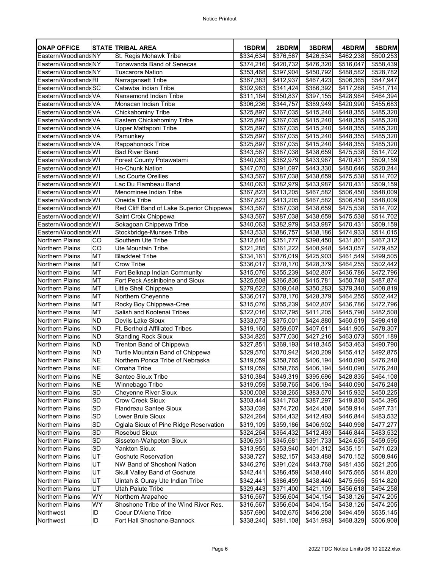| <b>ONAP OFFICE</b>                        |                 | <b>STATE TRIBAL AREA</b>                                                | 1BDRM                  | 2BDRM                  | 3BDRM                  | 4BDRM                  | 5BDRM                  |
|-------------------------------------------|-----------------|-------------------------------------------------------------------------|------------------------|------------------------|------------------------|------------------------|------------------------|
| Eastern/WoodlandsNY                       |                 | St. Regis Mohawk Tribe                                                  | $\overline{$334,634}$  | \$376,567              | \$426,534              | $\sqrt{462,238}$       | \$500,253              |
| Eastern/Woodlands NY                      |                 | Tonawanda Band of Senecas                                               | \$374,216              | \$420,732              | \$476,320              | \$516,047              | \$558,439              |
| Eastern/WoodlandsNY                       |                 | <b>Tuscarora Nation</b>                                                 | $\overline{$353,468}$  | \$397,904              | $\overline{$450,792}$  | \$488,582              | $\overline{$}528,782$  |
| Eastern/WoodlandsRI                       |                 | Narragansett Tribe                                                      | \$367,383              | \$412,937              | \$467,423              | \$506,365              | \$547,947              |
| Eastern/Woodlands SC                      |                 | Catawba Indian Tribe                                                    | \$302,983              | $\sqrt{$}341,424$      | \$386,392              | \$417,288              | \$451,714              |
| Eastern/Woodlands VA                      |                 | Nansemond Indian Tribe                                                  | \$311,184              | \$350,837              | \$397,155              | \$428,984              | \$464,394              |
| Eastern/Woodlands VA                      |                 | Monacan Indian Tribe                                                    | \$306,236              | \$344,757              | \$389,949              | \$420,990              | \$455,683              |
| Eastern/Woodlands VA                      |                 | <b>Chickahominy Tribe</b>                                               | \$325,897              | $\overline{$367,035}$  | \$415,240              | \$448,355              | \$485,320              |
| Eastern/Woodlands VA                      |                 | Eastern Chickahominy Tribe                                              | \$325,897              | \$367,035              | \$415,240              | \$448,355              | \$485,320              |
| Eastern/Woodlands VA                      |                 | Upper Mattaponi Tribe                                                   | \$325,897              | $\overline{$367,035}$  | $\sqrt{415,240}$       | \$448,355              | \$485,320              |
| Eastern/Woodlands VA                      |                 | Pamunkey                                                                | \$325,897              | \$367,035              | \$415,240              | \$448,355              | \$485,320              |
| Eastern/Woodlands VA                      |                 | Rappahonock Tribe                                                       | \$325,897              | \$367,035              | \$415,240              | \$448,355              | \$485,320              |
| Eastern/Woodlands WI                      |                 | <b>Bad River Band</b>                                                   | \$343,567              | \$387,038              | \$438,659              | \$475,538              | \$514,702              |
| Eastern/Woodlands WI                      |                 | <b>Forest County Potawatami</b>                                         | \$340,063              | \$382,979              | \$433,987              | \$470,431              | \$509,159              |
| Eastern/Woodlands WI                      |                 | <b>Ho-Chunk Nation</b>                                                  | $\sqrt{347,070}$       | \$391,097              | $\sqrt{443,330}$       | \$480,646              | \$520,244              |
| Eastern/Woodlands WI                      |                 | <b>Lac Courte Oreilles</b>                                              | \$343,567              | \$387,038              | \$438,659              | \$475,538              | \$514,702              |
| Eastern/Woodlands WI                      |                 | Lac Du Flambeau Band                                                    | \$340,063              | \$382,979              | \$433,987              | \$470,431              | \$509,159              |
| Eastern/Woodlands WI                      |                 | Menominee Indian Tribe                                                  | \$367,823              | \$413,205              | \$467,582              | \$506,450              | \$548,009              |
| Eastern/Woodlands WI                      |                 | Oneida Tribe                                                            | \$367,823              | \$413,205              | \$467,582              | $\overline{$}506,450$  | \$548,009              |
| Eastern/Woodlands WI                      |                 | Red Cliff Band of Lake Superior Chippewa                                | \$343,567              | \$387,038              | \$438,659              | \$475,538              | \$514,702              |
| Eastern/Woodlands WI                      |                 | Saint Croix Chippewa                                                    | \$343,567              | \$387,038              | \$438,659              | \$475,538              | \$514,702              |
| Eastern/Woodlands WI                      |                 | Sokagoan Chippewa Tribe                                                 | \$340,063              | \$382,979              | \$433,987              | \$470,431              | \$509,159              |
| Eastern/Woodlands WI                      |                 | <b>Stockbridge-Munsee Tribe</b>                                         | \$343,533              | \$386,757              | \$438,186              | $\sqrt{3474,933}$      | \$514,015              |
| <b>Northern Plains</b>                    | CO              | Southern Ute Tribe                                                      | \$312,610              | \$351,777              | \$398,450              | $\overline{$431,801}$  | \$467,312              |
| <b>Northern Plains</b>                    | $\overline{C}$  | <b>Ute Mountain Tribe</b>                                               | \$321,285              | \$361,222              | \$408,948              | \$443,057              | $\overline{$479,452}$  |
| <b>Northern Plains</b>                    | <b>MT</b>       | <b>Blackfeet Tribe</b>                                                  | \$334,161              | \$376,019              | \$425,903              | \$461,549              | \$499,505              |
| <b>Northern Plains</b>                    | <b>MT</b>       | <b>Crow Tribe</b>                                                       | \$336,017              | \$378,170              | \$428,379              | $\overline{$}464,255$  | \$502,442              |
| Northern Plains<br><b>Northern Plains</b> | <b>MT</b><br>МT | Fort Belknap Indian Community<br><b>Fort Peck Assiniboine and Sioux</b> | \$315,076<br>\$325,608 | \$355,239              | \$402,807              | \$436,786              | \$472,796<br>\$487,874 |
| <b>Northern Plains</b>                    | <b>MT</b>       | Little Shell Chippewa                                                   | \$279,622              | \$366,836<br>\$309,048 | \$415,781<br>\$350,283 | \$450,748<br>\$379,340 | \$408,819              |
| <b>Northern Plains</b>                    | MT              | Northern Cheyenne                                                       | \$336,017              | \$378,170              | \$428,379              | \$464,255              | \$502,442              |
| <b>Northern Plains</b>                    | <b>MT</b>       | Rocky Boy Chippewa-Cree                                                 | $\sqrt{$315,076}$      | \$355,239              | \$402,807              | \$436,786              | $\sqrt{3}472,796$      |
| <b>Northern Plains</b>                    | <b>MT</b>       | Salish and Kootenai Tribes                                              | \$322,016              | \$362,795              | \$411,205              | \$445,790              | \$482,508              |
| <b>Northern Plains</b>                    | <b>ND</b>       | <b>Devils Lake Sioux</b>                                                | $\overline{$}333,073$  | $\overline{$}375,001$  | $\sqrt{24,880}$        | $\overline{$}460,519$  | \$498,418              |
| <b>Northern Plains</b>                    | <b>ND</b>       | <b>Ft. Berthold Affiliated Tribes</b>                                   | \$319,160              | \$359,607              | \$407,611              | \$441,905              | \$478,307              |
| Northern Plains                           | <b>ND</b>       | <b>Standing Rock Sioux</b>                                              | \$334,825              | \$377,030              | \$427,216              | \$463,073              | \$501,189              |
| <b>Northern Plains</b>                    | <b>ND</b>       | <b>Trenton Band of Chippewa</b>                                         | \$327,851              | \$369,193              | \$418,345              | \$453,463              | \$490,790              |
| <b>Northern Plains</b>                    | <b>ND</b>       | Turtle Mountain Band of Chippewa                                        | \$329,570              | $\sqrt{3}370,942$      | \$420,209              | \$455,412              | \$492,875              |
| <b>Northern Plains</b>                    | <b>NE</b>       | Northern Ponca Tribe of Nebraska                                        | \$319,059              | \$358,765              | \$406,194]             | \$440,090              | \$476,248              |
| <b>Northern Plains</b>                    | <b>NE</b>       | Omaha Tribe                                                             | \$319,059              | \$358,765              | \$406,194              | \$440,090              | \$476,248              |
| <b>Northern Plains</b>                    | <b>NE</b>       | <b>Santee Sioux Tribe</b>                                               | \$310,384              | \$349,319              | \$395,696              | \$428,835              | \$464,108              |
| <b>Northern Plains</b>                    | <b>NE</b>       | Winnebago Tribe                                                         | \$319,059              | \$358,765              | \$406,194]             | \$440,090              | \$476,248              |
| <b>Northern Plains</b>                    | <b>SD</b>       | <b>Cheyenne River Sioux</b>                                             | \$300,008              | $\sqrt{3338,265}$      | \$383,570              | \$415,932              | \$450,225              |
| Northern Plains                           | <b>SD</b>       | <b>Crow Creek Sioux</b>                                                 | $\sqrt{$303,444}$      | \$341,763              | \$387,297              | $\sqrt{3}419,830$      | \$454,395              |
| <b>Northern Plains</b>                    | <b>SD</b>       | Flandreau Santee Sioux                                                  | \$333,039              | \$374,720              | \$424,408              | \$459,914              | \$497,731              |
| <b>Northern Plains</b>                    | <b>SD</b>       | Lower Brule Sioux                                                       | \$324,264]             | \$364,432              | \$412,493              | \$446,844              | $\overline{$}483,532$  |
| <b>Northern Plains</b>                    | <b>SD</b>       | Oglala Sioux of Pine Ridge Reservation                                  | \$319,109              | \$359,186              | \$406,902              | \$440,998              | \$477,277              |
| <b>Northern Plains</b>                    | <b>SD</b>       | <b>Rosebud Sioux</b>                                                    | \$324,264              | \$364,432              | \$412,493              | \$446,844              | \$483,532              |
| <b>Northern Plains</b>                    | <b>SD</b>       | Sisseton-Wahpeton Sioux                                                 | \$306,931              | \$345,681              | $\sqrt{3391,733}$      | \$424,635              | \$459,595              |
| <b>Northern Plains</b>                    | <b>SD</b>       | <b>Yankton Sioux</b>                                                    | \$313,955              | \$353,940              | \$401,312              | \$435,151              | \$471,023              |
| <b>Northern Plains</b>                    | UT              | <b>Goshute Reservation</b>                                              | \$338,727              | \$382,157              | \$433,488              | \$470,152              | \$508,946              |
| <b>Northern Plains</b>                    | UT              | NW Band of Shoshoni Nation                                              | \$346,276              | \$391,024              | \$443,768              | \$481,435              | \$521,205              |
| <b>Northern Plains</b>                    | UT              | <b>Skull Valley Band of Goshute</b>                                     | \$342,441              | \$386,459              | \$438,440              | $\overline{$}475,565$  | \$514,820              |
| <b>Northern Plains</b>                    | UT              | Uintah & Ouray Ute Indian Tribe                                         | \$342,441              | \$386,459              | \$438,440              | \$475,565              | \$514,820              |
| <b>Northern Plains</b>                    | UT              | <b>Utah Paiute Tribe</b>                                                | \$329,443              | \$371,400              | \$421,109              | \$456,618              | \$494,258              |
| <b>Northern Plains</b>                    | <b>WY</b>       | Northern Arapahoe                                                       | \$316,567              | \$356,604              | \$404,154]             | \$438,126              | \$474,205              |
| <b>Northern Plains</b><br>Northwest       | <b>WY</b><br>ID | Shoshone Tribe of the Wind River Res.<br><b>Coeur D'Alene Tribe</b>     | \$316,567<br>\$357,690 | \$356,604<br>\$402,675 | \$404,154<br>\$456,208 | \$438,126<br>\$494,459 | \$474,205<br>\$535,145 |
| Northwest                                 | ID              | Fort Hall Shoshone-Bannock                                              | \$338,240              | \$381,108              | \$431,983              | \$468,329              | \$506,908              |
|                                           |                 |                                                                         |                        |                        |                        |                        |                        |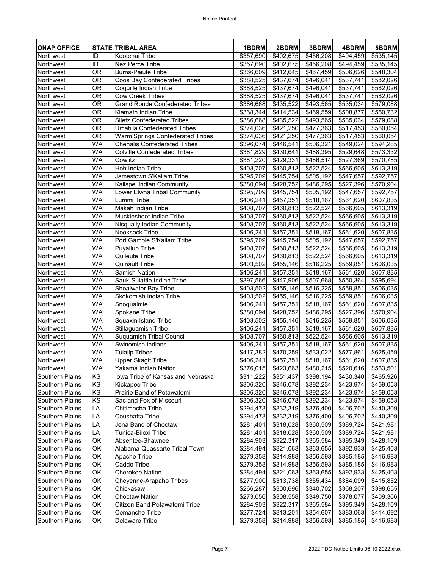| <b>ONAP OFFICE</b>     |                        | <b>STATE TRIBAL AREA</b>                    | 1BDRM                         | 2BDRM                  | 3BDRM                  | 4BDRM                  | 5BDRM                  |
|------------------------|------------------------|---------------------------------------------|-------------------------------|------------------------|------------------------|------------------------|------------------------|
| Northwest              | ID                     | Kootenai Tribe                              | $\overline{$}357,690$         | \$402,675              | $\sqrt{456,208}$       | \$494,459              | \$535,145              |
| Northwest              | ID                     | <b>Nez Perce Tribe</b>                      | \$357,690                     | \$402,675              | \$456,208              | \$494,459              | \$535,145              |
| Northwest              | <b>OR</b>              | <b>Burns-Paiute Tribe</b>                   | \$366,609                     | \$412,645              | \$467,459              | \$506,626              | \$548,304              |
| Northwest              | <b>OR</b>              | <b>Coos Bay Confederated Tribes</b>         | \$388,525                     | \$437,674              | \$496,041              | \$537,741              | \$582,026              |
| Northwest              | <b>OR</b>              | Coquille Indian Tribe                       | \$388,525                     | \$437,674              | \$496,041              | $\overline{$}537,741$  | $\overline{$582,026}$  |
| Northwest              | <b>OR</b>              | <b>Cow Creek Tribes</b>                     | \$388,525                     | \$437,674              | \$496,041              | \$537,741              | \$582,026              |
| Northwest              | <b>OR</b>              | <b>Grand Ronde Confederated Tribes</b>      | \$386,668                     | \$435,522              | \$493,565              | \$535,034              | \$579,088              |
| Northwest              | <b>OR</b>              | <b>Klamath Indian Tribe</b>                 | \$368,344                     | \$414,534              | \$469,559              | \$508,877              | \$550,732              |
| Northwest              | <b>OR</b>              | <b>Siletz Confederated Tribes</b>           | \$386,668                     | \$435,522              | \$493,565              | \$535,034              | \$579,088              |
| Northwest              | <b>OR</b>              | <b>Umatilla Confederated Tribes</b>         | \$374,036                     | \$421,250              | \$477,363              | \$517,453              | \$560,054              |
| Northwest              | <b>OR</b>              | <b>Warm Springs Confederated Tribes</b>     | \$374,036                     | \$421,250              | \$477,363              | \$517,453              | \$560,054              |
| Northwest              | <b>WA</b>              | <b>Chehalis Confederated Tribes</b>         | \$396,074                     | \$446,541              | \$506,321              | \$549,024              | \$594,285              |
| Northwest              | <b>WA</b>              | <b>Colville Confederated Tribes</b>         | \$381,829                     | \$430,641              | \$488,395              | \$529,648              | \$573,332              |
| Northwest<br>Northwest | <b>WA</b><br><b>WA</b> | Cowlitz<br><b>Hoh Indian Tribe</b>          | \$381,220                     | $\sqrt{2}429,331$      | \$486,514              | \$527,369              | \$570,785              |
| <b>Northwest</b>       |                        | Jamestown S'Kallam Tribe                    | \$408,707                     | \$460,813              | \$522,524              | \$566,605              | \$613,319              |
| Northwest              | <b>WA</b><br><b>WA</b> |                                             | \$395,709                     | \$445,754              | \$505,192              | \$547,657              | \$592,757              |
| Northwest              | <b>WA</b>              | Kalispel Indian Community                   | \$380,094                     | \$428,752              | \$486,295              | \$527,396              | \$570,904              |
| Northwest              | <b>WA</b>              | Lower Elwha Tribal Community<br>Lummi Tribe | \$395,709                     | \$445,754]             | \$505,192              | \$547,657              | \$592,757              |
| Northwest              | <b>WA</b>              | <b>Makah Indian Tribe</b>                   | \$406,241                     | $\overline{$457,351}$  | \$518,167              | \$561,620              | \$607,835              |
| Northwest              | <b>WA</b>              | <b>Muckleshoot Indian Tribe</b>             | \$408,707                     | \$460,813              | \$522,524              | \$566,605              | \$613,319              |
| Northwest              | <b>WA</b>              | Nisqually Indian Community                  | \$408,707<br>$\sqrt{408,707}$ | \$460,813<br>\$460,813 | \$522,524<br>\$522,524 | \$566,605<br>\$566,605 | \$613,319<br>\$613,319 |
| Northwest              | <b>WA</b>              | <b>Nooksack Tribe</b>                       | \$406,241                     | \$457,351              | \$518,167              | \$561,620              | \$607,835              |
| Northwest              | <b>WA</b>              | Port Gamble S'Kallam Tribe                  | \$395,709                     | \$445,754              | $\overline{$505,192}$  | \$547,657              | \$592,757              |
| Northwest              | <b>WA</b>              | <b>Puyallup Tribe</b>                       | \$408,707                     | \$460,813              | \$522,524              | \$566,605              | \$613,319              |
| Northwest              | <b>WA</b>              | <b>Quileute Tribe</b>                       | \$408,707                     | \$460,813              | \$522,524              | \$566,605              | \$613,319              |
| Northwest              | <b>WA</b>              | <b>Quinault Tribe</b>                       | \$403,502                     | \$455,146              | \$516,225              | \$559,851              | \$606,035              |
| Northwest              | <b>WA</b>              | <b>Samish Nation</b>                        | \$406,241                     | \$457,351              | \$518,167              | \$561,620              | \$607,835              |
| Northwest              | WA                     | Sauk-Suiattle Indian Tribe                  | \$397,566                     | \$447,906              | \$507,668              | \$550,364              | \$595,694]             |
| Northwest              | <b>WA</b>              | <b>Shoalwater Bay Tribe</b>                 | \$403,502                     | \$455,146              | \$516,225              | \$559,851              | \$606,035              |
| Northwest              | <b>WA</b>              | <b>Skokomish Indian Tribe</b>               | \$403,502                     | \$455,146              | \$516,225              | \$559,851              | \$606,035              |
| Northwest              | <b>WA</b>              | Snoqualmie                                  | \$406,241                     | \$457,351              | \$518,167              | \$561,620              | \$607,835              |
| Northwest              | WA                     | Spokane Tribe                               | \$380,094                     | \$428,752              | \$486,295              | \$527,396              | \$570,904              |
| Northwest              | <b>WA</b>              | <b>Squaxin Island Tribe</b>                 | $\overline{$}403,502$         | $\sqrt{3}455,146$      | \$516,225              | \$559,851              | \$606,035              |
| Northwest              | WA                     | <b>Stillaguamish Tribe</b>                  | \$406,241                     | \$457,351              | \$518,167              | \$561,620              | \$607,835              |
| Northwest              | <b>WA</b>              | <b>Suquamish Tribal Council</b>             | \$408,707                     | \$460,813              | \$522,524              | \$566,605              | \$613,319              |
| Northwest              | <b>WA</b>              | Swinomish Indians                           | \$406,241                     | \$457,351              | \$518,167              | \$561,620              | \$607,835              |
| Northwest              | WA                     | <b>Tulalip Tribes</b>                       | \$417,382                     | $\overline{$470,259}$  | \$533,022              | \$577,861              | \$625,459              |
| Northwest              | <b>WA</b>              | <b>Upper Skagit Tribe</b>                   | \$406,241                     | \$457,351              | \$518,167              | \$561,620              | \$607,835              |
| Northwest              | <b>WA</b>              | Yakama Indian Nation                        | \$376,015                     | \$423,663              | \$480,215              | \$520,616              | \$563,501              |
| <b>Southern Plains</b> | <b>KS</b>              | lowa Tribe of Kansas and Nebraska           | $\overline{$}311,222$         | \$351,437              | \$398,194              | \$430,340              | $\sqrt{$465,926}$      |
| <b>Southern Plains</b> | <b>KS</b>              | Kickapoo Tribe                              | \$306,320                     | \$346,078              | \$392,234              | \$423,974              | \$459,053              |
| <b>Southern Plains</b> | KS                     | Prairie Band of Potawatomi                  | \$306,320                     | \$346,078              | \$392,234              | \$423,974              | \$459,053              |
| <b>Southern Plains</b> | <b>KS</b>              | Sac and Fox of Missouri                     | \$306,320                     | \$346,078              | \$392,234              | \$423,974              | \$459,053              |
| <b>Southern Plains</b> | LA                     | Chitimacha Tribe                            | \$294,473                     | \$332,319              | \$376,400              | \$406,702              | \$440,309              |
| <b>Southern Plains</b> | LA                     | <b>Coushatta Tribe</b>                      | \$294,473                     | \$332,319              | \$376,400              | \$406,702              | \$440,309              |
| <b>Southern Plains</b> | LA                     | Jena Band of Choctaw                        | \$281,401                     | \$318,028              | \$360,509              | \$389,724              | \$421,981              |
| <b>Southern Plains</b> | LA                     | Tunica-Biloxi Tribe                         | \$281,401                     | \$318,028              | \$360,509              | $\sqrt{389,724}$       | \$421,981              |
| <b>Southern Plains</b> | OK                     | Absentee-Shawnee                            | \$284,903                     | \$322,317              | \$365,584              | \$395,349              | \$428,109              |
| <b>Southern Plains</b> | OK                     | Alabama-Quassarte Tribal Town               | \$284,494                     | \$321,063              | \$363,655              | \$392,933              | \$425,403              |
| <b>Southern Plains</b> | OK                     | <b>Apache Tribe</b>                         | \$279,358                     | \$314,988              | \$356,593              | \$385,185              | \$416,983              |
| <b>Southern Plains</b> | OK                     | <b>Caddo Tribe</b>                          | \$279,358                     | \$314,988              | $\sqrt{$356,593}$      | \$385,185              | \$416,983              |
| <b>Southern Plains</b> | OK                     | Cherokee Nation                             | $\sqrt{$284,494}$             | \$321,063              | \$363,655              | \$392,933              | $\overline{$}425,403$  |
| <b>Southern Plains</b> | OK                     | <b>Cheyenne-Arapaho Tribes</b>              | \$277,900                     | \$313,738              | \$355,434              | \$384,099              | \$415,852              |
| <b>Southern Plains</b> | OK                     | Chickasaw                                   | \$266,287                     | \$300,696              | \$340,702              | \$368,207              | \$398,655              |
| <b>Southern Plains</b> | OK                     | <b>Choctaw Nation</b>                       | \$273,056                     | \$308,558              | \$349,750              | \$378,077              | \$409,366              |
| Southern Plains        | $\overline{OK}$        | Citizen Band Potawatomi Tribe               | \$284,903                     | \$322,317              | \$365,584              | \$395,349              | \$428,109              |
| Southern Plains        | $\overline{OK}$        | <b>Comanche Tribe</b>                       | \$277,724                     | \$313,201              | \$354,607              | \$383,063              | \$414,692              |
| <b>Southern Plains</b> | OK                     | <b>Delaware Tribe</b>                       | \$279,358                     | \$314,988              | \$356,593              | \$385,185              | \$416,983              |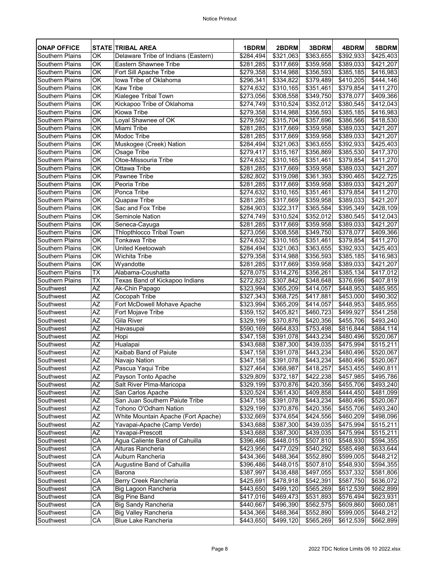| <b>ONAP OFFICE</b>     |                 | <b>STATE TRIBAL AREA</b>            | 1BDRM                  | 2BDRM                  | 3BDRM                  | 4BDRM                              | 5BDRM                  |
|------------------------|-----------------|-------------------------------------|------------------------|------------------------|------------------------|------------------------------------|------------------------|
| <b>Southern Plains</b> | OK              | Delaware Tribe of Indians (Eastern) | $\sqrt{284,494}$       | \$321,063              | \$363,655              | \$392,933                          | \$425,403              |
| Southern Plains        | OK              | <b>Eastern Shawnee Tribe</b>        | \$281,285              | \$317,669              | \$359,958              | \$389,033                          | \$421,207              |
| <b>Southern Plains</b> | $\overline{OK}$ | Fort Sill Apache Tribe              | $\sqrt{279,358}$       | $\overline{$}314,988$  | \$356,593              | \$385,185                          | $\overline{$416,983}$  |
| <b>Southern Plains</b> | $\overline{OK}$ | lowa Tribe of Oklahoma              | \$296,341              | \$334,822              | \$379,489              | \$410,205                          | \$444,146              |
| <b>Southern Plains</b> | OK              | <b>Kaw Tribe</b>                    | \$274,632              | $\overline{$}310,165$  | \$351,461              | \$379,854                          | \$411,270              |
| <b>Southern Plains</b> | OK              | Kialegee Tribal Town                | \$273,056              | \$308,558              | $\overline{$}349,750$  | \$378,077                          | \$409,366              |
| <b>Southern Plains</b> | $\overline{OK}$ | Kickapoo Tribe of Oklahoma          | \$274,749              | \$310,524              | \$352,012              | \$380,545                          | \$412,043              |
| <b>Southern Plains</b> | $\overline{OK}$ | <b>Kiowa Tribe</b>                  | $\sqrt{279,358}$       | $\overline{$314,988}$  | \$356,593              | \$385,185                          | \$416,983              |
| <b>Southern Plains</b> | $\overline{OK}$ | Loyal Shawnee of OK                 | \$279,592              | \$315,704              | \$357,696              | \$386,566                          | \$418,530              |
| <b>Southern Plains</b> | OK              | Miami Tribe                         | \$281,285              | \$317,669              | \$359,958              | \$389,033                          | \$421,207              |
| <b>Southern Plains</b> | OK              | Modoc Tribe                         | \$281,285              | \$317,669              | \$359,958              | \$389,033                          | \$421,207              |
| <b>Southern Plains</b> | OK              | Muskogee (Creek) Nation             | \$284,494              | \$321,063              | \$363,655              | \$392,933                          | \$425,403              |
| <b>Southern Plains</b> | OK              | <b>Osage Tribe</b>                  | \$279,417              | \$315,167              | \$356,869              | \$385,530                          | \$417,370              |
| <b>Southern Plains</b> | $\overline{OK}$ | Otoe-Missouria Tribe                | \$274,632              | \$310,165              | \$351,461              | \$379,854                          | \$411,270              |
| Southern Plains        | $\overline{OK}$ | <b>Ottawa Tribe</b>                 | $\overline{$281,285}$  | \$317,669              | \$359,958              | $\overline{$}389,033$              | \$421,207              |
| <b>Southern Plains</b> | OK              | <b>Pawnee Tribe</b>                 | \$282,802              | \$319,098              | \$361,393              | \$390,465                          | \$422,725              |
| <b>Southern Plains</b> | OK              | Peoria Tribe                        | \$281,285              | $\overline{$317,669}$  | \$359,958              | \$389,033                          | \$421,207              |
| <b>Southern Plains</b> | OK              | Ponca Tribe                         | $\sqrt{$274,632}$      | \$310,165              | \$351,461              | \$379,854                          | \$411,270              |
| <b>Southern Plains</b> | OK              | <b>Quapaw Tribe</b>                 | \$281,285              | \$317,669              | \$359,958              | \$389,033                          | \$421,207              |
| <b>Southern Plains</b> | $\overline{OK}$ | Sac and Fox Tribe                   | $\sqrt{$284,903}$      | \$322,317              | \$365,584              | \$395,349                          | \$428,109              |
| <b>Southern Plains</b> | OK              | <b>Seminole Nation</b>              | \$274,749              | \$310,524              | \$352,012              | \$380,545                          | \$412,043              |
| <b>Southern Plains</b> | OK              | Seneca-Cayuga                       | \$281,285              | $\overline{$317,669}$  | $\overline{$359,958}$  | $\sqrt{$}389,033$                  | \$421,207              |
| Southern Plains        | OK              | <b>Thlopthlocco Tribal Town</b>     | $\sqrt{$273,056}$      | \$308,558              | \$349,750              | \$378,077                          | \$409,366              |
| <b>Southern Plains</b> | OK              | Tonkawa Tribe                       | \$274,632              | \$310,165              | \$351,461              | \$379,854                          | \$411,270              |
| <b>Southern Plains</b> | $\overline{OK}$ | United Keetoowah                    | \$284,494              | $\overline{$321,063}$  | \$363,655              | \$392,933                          | \$425,403              |
| <b>Southern Plains</b> | OK              | Wichita Tribe                       | \$279,358              | \$314,988              | \$356,593              | \$385,185                          | \$416,983              |
| <b>Southern Plains</b> | OK              | Wyandotte                           | \$281,285              | \$317,669              | \$359,958              | \$389,033                          | \$421,207              |
| <b>Southern Plains</b> | <b>TX</b>       | Alabama-Coushatta                   | \$278,075              | \$314,276              | \$356,261              | \$385,134                          | \$417,012              |
| <b>Southern Plains</b> | <b>TX</b>       | Texas Band of Kickapoo Indians      | \$272,823              | $\overline{$307,842}$  | \$348,648              | \$376,696                          | \$407,819              |
| Southwest              | <b>AZ</b>       | Ak-Chin Papago                      | \$323,994              | \$365,209              | \$414,057              | \$448,953                          | \$485,955              |
| Southwest              | AΖ              | Cocopah Tribe                       | \$327,343              | \$368,725              | \$417,881              | \$453,000                          | \$490,302              |
| Southwest              | $\overline{AZ}$ | Fort McDowell Mohave Apache         | \$323,994              | \$365,209              | \$414,057              | \$448,953                          | $\sqrt{3}485,955$      |
| Southwest              | ΑZ              | Fort Mojave Tribe                   | \$359,152<br>\$329,199 | \$405,821              | \$460,723              | \$499,927                          | \$541,258              |
| Southwest<br>Southwest | AΖ<br><b>AZ</b> | <b>Gila River</b>                   |                        | \$370,876<br>\$664,833 | \$420,356<br>\$753,498 | $\overline{$}455,706$<br>\$816,844 | \$493,240<br>\$884,114 |
| Southwest              | AΖ              | Havasupai<br>Hopi                   | \$590,169<br>\$347,158 | \$391,078              | \$443,234              | \$480,496                          | \$520,067              |
| Southwest              | AZ              | Hualapai                            | \$343,688              | \$387,300              | \$439,035              | \$475,994                          | \$515,211              |
| Southwest              | <b>AZ</b>       | <b>Kaibab Band of Paiute</b>        | \$347,158              | \$391,078              | \$443,234              | \$480,496                          | \$520,067              |
| Southwest              | ΑZ              | Navajo Nation                       | \$347,158              | \$391,078              | \$443,234              | \$480,496                          | \$520,067              |
| Southwest              | ΑZ              | Pascua Yaqui Tribe                  | \$327,464]             | \$368,987              | \$418,257              | \$453,455                          | \$490,811              |
| Southwest              | AΖ              | Payson Tonto Apache                 | \$329,809              | \$372,187              | \$422,238              | \$457,985                          | \$495,786              |
| Southwest              | <b>AZ</b>       | Salt River PIma-Maricopa            | \$329,199              | \$370,876              | \$420,356              | \$455,706                          | \$493,240              |
| Southwest              | ΑZ              | San Carlos Apache                   | \$320,524              | \$361,430              | \$409,858              | \$444,450                          | \$481,099              |
| Southwest              | <b>AZ</b>       | San Juan Southern Paiute Tribe      | \$347,158              | $\sqrt{391,078}$       | \$443,234              | $\sqrt{480,496}$                   | \$520,067              |
| Southwest              | <b>AZ</b>       | Tohono O'Odham Nation               | \$329,199              | \$370,876              | \$420,356              | \$455,706                          | \$493,240              |
| Southwest              | AΖ              | White Mountain Apache (Fort Apache) | $\overline{$}332,669$  | \$374,654              | \$424,556              | $\sqrt{2460,209}$                  | $\sqrt{2498,096}$      |
| Southwest              | AΖ              | Yavapai-Apache (Camp Verde)         | \$343,688              | \$387,300              | \$439,035              | \$475,994                          | \$515,211              |
| Southwest              | AΖ              | Yavapai-Prescott                    | \$343,688              | \$387,300              | \$439,035              | \$475,994                          | \$515,211              |
| Southwest              | CA              | Agua Caliente Band of Cahuilla      | \$396,486              | \$448,015              | \$507,810              | \$548,930                          | \$594,355              |
| Southwest              | CA              | Alturas Rancheria                   | \$423,956              | \$477,029              | \$540,292              | \$585,498                          | \$633,644              |
| Southwest              | CA              | Auburn Rancheria                    | $\overline{$}434,366$  | \$488,364              | $\sqrt{$}552,890$      | \$599,005                          | \$648,212              |
| Southwest              | CA              | <b>Augustine Band of Cahuilla</b>   | \$396,486              | \$448,015              | \$507,810              | \$548,930                          | \$594,355              |
| Southwest              | CA              | Barona                              | \$387,997              | \$438,488              | \$497,055              | $\overline{$}537,332$              | \$581,806              |
| Southwest              | CA              | <b>Berry Creek Rancheria</b>        | \$425,691              | \$478,918              | \$542,391              | \$587,750                          | \$636,072              |
| Southwest              | CA              | <b>Big Lagoon Rancheria</b>         | \$443,650              | \$499,120              | \$565,269              | \$612,539                          | \$662,899              |
| Southwest              | CA              | <b>Big Pine Band</b>                | \$417,016              | \$469,473              | \$531,893              | \$576,494                          | $\sqrt{$623,931}$      |
| Southwest              | CA              | <b>Big Sandy Rancheria</b>          | \$440,667              | \$496,390              | \$562,575              | \$609,860                          | \$660,081              |
| Southwest              | CA              | <b>Big Valley Rancheria</b>         | \$434,366              | \$488,364              | \$552,890              | \$599,005                          | \$648,212              |
| Southwest              | CA              | <b>Blue Lake Rancheria</b>          | \$443,650              | \$499,120              | \$565,269              | \$612,539                          | \$662,899              |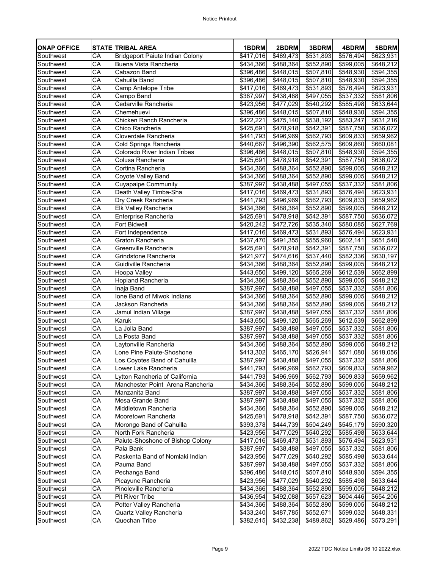| <b>ONAP OFFICE</b> |    | <b>STATE TRIBAL AREA</b>               | 1BDRM                 | 2BDRM                 | 3BDRM                 | 4BDRM                 | 5BDRM                 |
|--------------------|----|----------------------------------------|-----------------------|-----------------------|-----------------------|-----------------------|-----------------------|
| Southwest          | CA | <b>Bridgeport Paiute Indian Colony</b> | \$417,016             | \$469,473             | $\overline{$}531,893$ | $\overline{$}576,494$ | \$623,931             |
| Southwest          | CA | <b>Buena Vista Rancheria</b>           | \$434,366             | \$488,364             | \$552,890             | \$599,005             | \$648,212             |
| Southwest          | CA | <b>Cabazon Band</b>                    | \$396,486             | \$448,015             | \$507,810             | \$548,930             | \$594,355             |
| Southwest          | CA | Cahuilla Band                          | \$396,486             | \$448,015             | \$507,810             | $\sqrt{$548,930}$     | \$594,355             |
| Southwest          | CA | <b>Camp Antelope Tribe</b>             | \$417,016             | \$469,473             | \$531,893             | $\overline{$}576,494$ | \$623,931             |
| Southwest          | СA | Campo Band                             | \$387,997             | \$438,488             | \$497,055             | \$537,332             | \$581,806             |
| Southwest          | CA | Cedarville Rancheria                   | \$423,956             | \$477,029             | \$540,292             | \$585,498             | \$633,644             |
| Southwest          | CA | Chemehuevi                             | \$396,486             | \$448,015             | \$507,810             | \$548,930             | \$594,355             |
| Southwest          | СA | Chicken Ranch Rancheria                | \$422,221             | \$475,140             | \$538,192             | \$583,247             | \$631,216             |
| Southwest          | CA | Chico Rancheria                        | \$425,691             | \$478,918             | \$542,391             | \$587,750             | \$636,072             |
| Southwest          | CA | Cloverdale Rancheria                   | \$441,793             | \$496,969             | \$562,793             | \$609,833             | \$659,962             |
| Southwest          | СA | Cold Springs Rancheria                 | \$440,667             | \$496,390             | \$562,575             | \$609,860             | \$660,081             |
| Southwest          | CA | <b>Colorado River Indian Tribes</b>    | \$396,486             | \$448,015             | \$507,810             | \$548,930             | \$594,355             |
| Southwest          | CA | Colusa Rancheria                       | \$425,691             | \$478,918             | \$542,391             | \$587,750             | \$636,072             |
| Southwest          | CA | Cortina Rancheria                      | \$434,366             | \$488,364             | \$552,890             | \$599,005             | \$648,212             |
| Southwest          | СA | Coyote Valley Band                     | \$434,366             | \$488,364             | \$552,890             | \$599,005             | \$648,212             |
| Southwest          | CA | <b>Cuyapaipe Community</b>             | $\overline{$}387,997$ | \$438,488             | \$497,055             | \$537,332             | \$581,806             |
| Southwest          | CA | Death Valley Timba-Sha                 | \$417,016             | $\sqrt{469,473}$      | \$531,893             | \$576,494             | \$623,931             |
| Southwest          | CA | Dry Creek Rancheria                    | \$441,793             | \$496,969             | \$562,793             | \$609,833             | \$659,962             |
| Southwest          | CA | <b>Elk Valley Rancheria</b>            | \$434,366             | \$488,364             | \$552,890             | \$599,005             | \$648,212             |
| Southwest          | CA | Enterprise Rancheria                   | \$425,691             | \$478,918             | \$542,391             | \$587,750             | \$636,072             |
| Southwest          | CA | <b>Fort Bidwell</b>                    | \$420,242             | $\overline{$472,726}$ | \$535,340             | \$580,085             | \$627,769             |
| Southwest          | CA | Fort Independence                      | \$417,016             | \$469,473             | \$531,893             | \$576,494             | \$623,931             |
| Southwest          | CA | <b>Graton Rancheria</b>                | $\overline{$}437,470$ | \$491,355             | \$555,960             | \$602,141             | \$651,540             |
| Southwest          | CA | Greenville Rancheria                   | \$425,691             | \$478,918             | \$542,391             | \$587,750             | \$636,072             |
| Southwest          | СA | Grindstone Rancheria                   | \$421,977             | \$474,616             | \$537,440             | \$582,336             | \$630,197             |
| Southwest          | CA | <b>Guidiville Rancheria</b>            | \$434,366             | \$488,364             | \$552,890             | \$599,005             | \$648,212             |
| Southwest          | СA | <b>Hoopa Valley</b>                    | \$443,650             | \$499,120             | \$565,269             | \$612,539             | \$662,899             |
| Southwest          | СA | <b>Hopland Rancheria</b>               | \$434,366             | \$488,364             | \$552,890             | \$599,005             | \$648,212             |
| Southwest          | CA | Inaja Band                             | \$387,997             | \$438,488             | \$497,055             | \$537,332             | \$581,806             |
| Southwest          | СA | Ione Band of Miwok Indians             | \$434,366             | \$488,364             | \$552,890             | \$599,005             | \$648,212             |
| Southwest          | СA | Jackson Rancheria                      | \$434,366             | \$488,364             | \$552,890             | \$599,005             | \$648,212             |
| Southwest          | CA | Jamul Indian Village                   | \$387,997             | \$438,488             | \$497,055             | \$537,332             | \$581,806             |
| Southwest          | CA | <b>Karuk</b>                           | \$443,650             | \$499,120             | \$565,269             | \$612,539             | \$662,899             |
| Southwest          | СA | La Jolla Band                          | \$387,997             | \$438,488             | \$497,055             | \$537,332             | \$581,806             |
| Southwest          | СA | La Posta Band                          | \$387,997             | \$438,488             | \$497,055             | \$537,332             | \$581,806             |
| Southwest          | CA | Laytonville Rancheria                  | \$434,366             | \$488,364             | \$552,890             | \$599,005             | \$648,212             |
| Southwest          | СA | Lone Pine Paiute-Shoshone              | \$413,302             | \$465,170             | \$526,941             | \$571,080             | \$618,056             |
| Southwest          | CA | Los Coyotes Band of Cahuilla           | \$387,997             | \$438,488             | \$497,055             | \$537,332             | \$581,806             |
| Southwest          | CA | Lower Lake Rancheria                   | \$441,793             | \$496,969             | \$562,793             | \$609,833             | \$659,962             |
| Southwest          | СA | Lytton Rancheria of California         | \$441,793             | \$496,969             | \$562,793             | \$609,833             | \$659,962             |
| Southwest          | CA | Manchester Point Arena Rancheria       | \$434,366             | \$488,364             | \$552,890             | \$599,005             | \$648,212             |
| Southwest          | СA | Manzanita Band                         | \$387,997             | \$438,488             | \$497,055             | \$537,332             | \$581,806             |
| Southwest          | CA | Mesa Grande Band                       | \$387,997             | $\sqrt{$438,488}$     | \$497,055             | \$537,332             | \$581,806             |
| Southwest          | СA | Middletown Rancheria                   | \$434,366             | \$488,364             | \$552,890             | \$599,005             | \$648,212             |
| Southwest          | СA | Mooretown Rancheria                    | $\sqrt{$425,691}$     | \$478,918             | \$542,391             | \$587,750             | \$636,072             |
| Southwest          | СA | Morongo Band of Cahuilla               | \$393,378             | \$444,739             | \$504,249             | \$545,179             | \$590,320             |
| Southwest          | CA | North Fork Rancheria                   | \$423,956             | \$477,029             | \$540,292             | $\overline{$}585,498$ | \$633,644             |
| Southwest          | CA | Paiute-Shoshone of Bishop Colony       | \$417,016             | \$469,473             | \$531,893             | \$576,494             | \$623,931             |
| Southwest          | СA | Pala Bank                              | \$387,997             | \$438,488             | \$497,055             | \$537,332             | \$581,806             |
| Southwest          | CA | Paskenta Band of Nomlaki Indian        | $\sqrt{423,956}$      | $\sqrt{2477,029}$     | \$540,292             | \$585,498             | \$633,644             |
| Southwest          | CA | Pauma Band                             | \$387,997             | \$438,488             | \$497,055             | \$537,332             | \$581,806             |
| Southwest          | CA | Pechanga Band                          | \$396,486             | \$448,015             | \$507,810             | \$548,930             | $\overline{$}594,355$ |
| Southwest          | CA | Picayune Rancheria                     | \$423,956             | \$477,029             | \$540,292             | \$585,498             | \$633,644             |
| Southwest          | СA | Pinoleville Rancheria                  | \$434,366             | \$488,364             | \$552,890             | \$599,005             | \$648,212             |
| Southwest          | CA | <b>Pit River Tribe</b>                 | \$436,954             | \$492,088             | \$557,623             | \$604,446             | \$654,206             |
| Southwest          | СA | Potter Valley Rancheria                | \$434,366             | \$488,364             | \$552,890             | \$599,005             | \$648,212             |
| Southwest          | CA | <b>Quartz Valley Rancheria</b>         | \$433,240             | \$487,785             | \$552,671             | \$599,032             | \$648,331             |
| Southwest          | CA | Quechan Tribe                          | \$382,615             | \$432,238             | \$489,862             | \$529,486             | \$573,291             |
|                    |    |                                        |                       |                       |                       |                       |                       |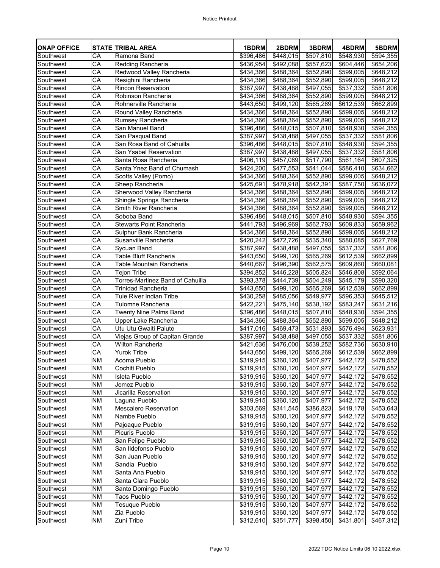| <b>ONAP OFFICE</b> |                          | <b>STATE TRIBAL AREA</b>                | 1BDRM                 | 2BDRM                 | 3BDRM                 | 4BDRM             | 5BDRM      |
|--------------------|--------------------------|-----------------------------------------|-----------------------|-----------------------|-----------------------|-------------------|------------|
| Southwest          | CA                       | Ramona Band                             | \$396,486             | \$448,015             | $\overline{$507,810}$ | $\sqrt{548,930}$  | \$594,355  |
| Southwest          | СA                       | Redding Rancheria                       | \$436,954             | \$492,088             | \$557,623             | \$604,446         | \$654,206  |
| Southwest          | CA                       | Redwood Valley Rancheria                | \$434,366             | \$488,364             | \$552,890             | \$599,005         | \$648,212  |
| Southwest          | CA                       | Resighini Rancheria                     | \$434,366             | \$488,364             | \$552,890             | \$599,005         | \$648,212  |
| Southwest          | $\overline{\mathsf{CA}}$ | <b>Rincon Reservation</b>               | $\overline{$387,997}$ | \$438,488             | \$497,055             | \$537,332         | \$581,806  |
| Southwest          | CA                       | Robinson Rancheria                      | \$434,366             | \$488,364             | \$552,890             | \$599,005         | \$648,212  |
| Southwest          | CA                       | Rohnerville Rancheria                   | \$443,650             | \$499,120             | \$565,269             | \$612,539         | \$662,899  |
| Southwest          | CA                       | Round Valley Rancheria                  | \$434,366             | \$488,364             | \$552,890             | \$599,005         | \$648,212  |
| Southwest          | CA                       | Rumsey Rancheria                        | \$434,366             | \$488,364             | \$552,890             | \$599,005         | \$648,212  |
| Southwest          | $\overline{\mathsf{CA}}$ | San Manuel Band                         | \$396,486             | \$448,015             | \$507,810             | \$548,930         | \$594,355  |
| Southwest          | CA                       | San Pasqual Band                        | \$387,997             | \$438,488             | \$497,055             | \$537,332         | \$581,806  |
| Southwest          | CA                       | San Rosa Band of Cahuilla               | \$396,486             | \$448,015             | \$507,810             | \$548,930         | \$594,355  |
| Southwest          | CA                       | <b>San Ysabel Reservation</b>           | \$387,997             | \$438,488             | \$497,055             | \$537,332         | \$581,806  |
| Southwest          | CA                       | Santa Rosa Rancheria                    | \$406,119             | $\sqrt{$457,089}$     | \$517,790             | \$561,164         | \$607,325  |
| Southwest          | CA                       | Santa Ynez Band of Chumash              | $\sqrt{$424,200}$     | \$477,553             | \$541,044             | \$586,410         | \$634,662  |
| Southwest          | CA                       | Scotts Valley (Pomo)                    | \$434,366             | \$488,364             | \$552,890             | \$599,005         | \$648,212  |
| Southwest          | CA                       | <b>Sheep Rancheria</b>                  | $\sqrt{$425,691}$     | \$478,918             | \$542,391             | \$587,750         | \$636,072  |
| Southwest          | CA                       | Sherwood Valley Rancheria               | \$434,366             | \$488,364             | \$552,890             | \$599,005         | \$648,212  |
| Southwest          | CA                       | Shingle Springs Rancheria               | \$434,366             | \$488,364             | \$552,890             | \$599,005         | \$648,212  |
| Southwest          | CA                       | Smith River Rancheria                   | $\sqrt{3434,366}$     | \$488,364             | \$552,890             | \$599,005         | \$648,212  |
| Southwest          | CA                       | Soboba Band                             | \$396,486             | \$448,015             | \$507,810             | \$548,930         | \$594,355  |
| Southwest          | $\overline{\mathsf{CA}}$ | <b>Stewarts Point Rancheria</b>         | $\sqrt{441,793}$      | \$496,969             | \$562,793             | \$609,833         | \$659,962  |
| Southwest          | CA                       | Sulphur Bank Rancheria                  | \$434,366             | \$488,364             | \$552,890             | \$599,005         | \$648,212  |
| Southwest          | CA                       | Susanville Rancheria                    | $\sqrt{420,242}$      | \$472,726             | \$535,340             | \$580,085         | \$627,769  |
| Southwest          | CA                       | <b>Sycuan Band</b>                      | \$387,997             | \$438,488             | \$497,055             | \$537,332         | \$581,806  |
| Southwest          | CA                       | <b>Table Bluff Rancheria</b>            | \$443,650             | $\overline{$}499,120$ | \$565,269             | \$612,539         | \$662,899  |
| Southwest          | CA                       | <b>Table Mountain Rancheria</b>         | \$440,667             | \$496,390             | \$562,575             | \$609,860         | \$660,081  |
| Southwest          | СA                       | <b>Tejon Tribe</b>                      | \$394,852             | \$446,228             | \$505,824             | \$546,808         | \$592,064] |
| Southwest          | CA                       | <b>Torres-Martinez Band of Cahuilla</b> | \$393,378             | \$444,739             | \$504,249             | \$545,179         | \$590,320  |
| Southwest          | CA                       | <b>Trinidad Rancheria</b>               | \$443,650             | \$499,120             | \$565,269             | \$612,539         | \$662,899  |
| Southwest          | СA                       | <b>Tule River Indian Tribe</b>          | \$430,258             | \$485,056             | \$549,977             | \$596,353         | \$645,512  |
| Southwest          | CA                       | <b>Tulomne Rancheria</b>                | \$422,221             | \$475,140             | \$538,192             | \$583,247         | \$631,216  |
| Southwest          | CA                       | <b>Twenty Nine Palms Band</b>           | \$396,486             | \$448,015             | \$507,810             | \$548,930         | \$594,355  |
| Southwest          | CA                       | Upper Lake Rancheria                    | $\sqrt{434,366}$      | \$488,364             | \$552,890             | \$599,005         | \$648,212  |
| Southwest          | CA                       | Utu Utu Gwaiti Paiute                   | \$417,016             | \$469,473             | \$531,893             | \$576,494         | \$623,931  |
| Southwest          | CA                       | Viejas Group of Capitan Grande          | $\overline{$}387,997$ | \$438,488             | \$497,055             | $\sqrt{3}537,332$ | \$581,806  |
| Southwest          | CA                       | <b>Wilton Rancheria</b>                 | \$421,636             | \$476,000             | \$539,252             | \$582,736         | \$630,910  |
| Southwest          | СA                       | <b>Yurok Tribe</b>                      | \$443,650             | \$499,120             | \$565,269             | \$612,539         | \$662,899  |
| Southwest          | <b>NM</b>                | Acoma Pueblo                            | \$319,915             | \$360,120             | \$407,977             | \$442,172         | \$478,552  |
| Southwest          | <b>NM</b>                | Cochiti Pueblo                          | \$319,915             | \$360,120             | \$407,977             | \$442,172         | \$478,552  |
| Southwest          | <b>NM</b>                | Isleta Pueblo                           | \$319,915             | \$360,120             | \$407,977             | \$442,172         | \$478,552  |
| Southwest          | <b>NM</b>                | Jemez Pueblo                            | \$319,915             | \$360,120             | \$407,977             | \$442,172         | \$478,552  |
| Southwest          | <b>NM</b>                | <b>Jicarilla Reservation</b>            | \$319,915             | \$360,120             | \$407,977             | \$442,172         | \$478,552  |
| Southwest          | <b>NM</b>                | Laguna Pueblo                           | \$319,915             | \$360,120             | \$407,977             | \$442,172         | \$478,552  |
| Southwest          | <b>NM</b>                | <b>Mescalero Reservation</b>            | \$303,569             | \$341,545             | \$386,823             | \$419,178         | \$453,643  |
| Southwest          | <b>NM</b>                | Nambe Pueblo                            | $\sqrt{$319,915}$     | $\overline{$360,120}$ | \$407,977             | \$442,172         | \$478,552  |
| Southwest          | <b>NM</b>                | Pajoaque Pueblo                         | \$319,915             | \$360,120             | \$407,977             | \$442,172         | \$478,552  |
| Southwest          | NM                       | Picuris Pueblo                          | \$319,915             | $\sqrt{$360,120}$     | \$407,977             | \$442,172         | \$478,552  |
| Southwest          | <b>NM</b>                | San Felipe Pueblo                       | \$319,915             | \$360,120             | \$407,977             | \$442,172         | \$478,552  |
| Southwest          | <b>NM</b>                | San Ildefonso Pueblo                    | \$319,915             | \$360,120             | \$407,977             | \$442,172         | \$478,552  |
| Southwest          | <b>NM</b>                | San Juan Pueblo                         | \$319,915             | \$360,120             | \$407,977             | \$442,172         | \$478,552  |
| Southwest          | <b>NM</b>                | Sandia Pueblo                           | \$319,915             | \$360,120             | \$407,977             | \$442,172         | \$478,552  |
| Southwest          | <b>NM</b>                | Santa Ana Pueblo                        | \$319,915             | \$360,120             | $\sqrt{3407,977}$     | \$442,172         | \$478,552  |
| Southwest          | NM                       | Santa Clara Pueblo                      | \$319,915             | \$360,120             | \$407,977             | \$442,172         | \$478,552  |
| Southwest          | <b>NM</b>                | Santo Domingo Pueblo                    | \$319,915             | \$360,120             | \$407,977             | \$442,172         | \$478,552  |
| Southwest          | <b>NM</b>                | <b>Taos Pueblo</b>                      | \$319,915             | \$360,120             | \$407,977             | \$442,172         | \$478,552  |
| Southwest          | <b>NM</b>                | Tesuque Pueblo                          | \$319,915             | 360,120               | $\sqrt{407,977}$      | \$442,172         | \$478,552  |
| Southwest          | <b>NM</b>                | Zia Pueblo                              | \$319,915             | \$360,120             | \$407,977             | \$442,172         | \$478,552  |
| Southwest          | <b>NM</b>                | Zuni Tribe                              | \$312,610             | \$351,777             | \$398,450             | \$431,801         | \$467,312  |